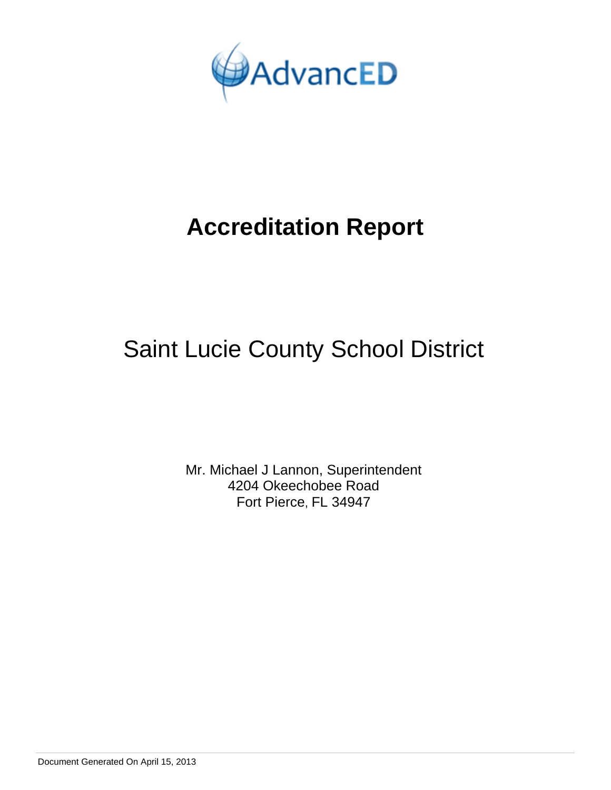

# Saint Lucie County School District

Mr. Michael J Lannon, Superintendent 4204 Okeechobee Road Fort Pierce, FL 34947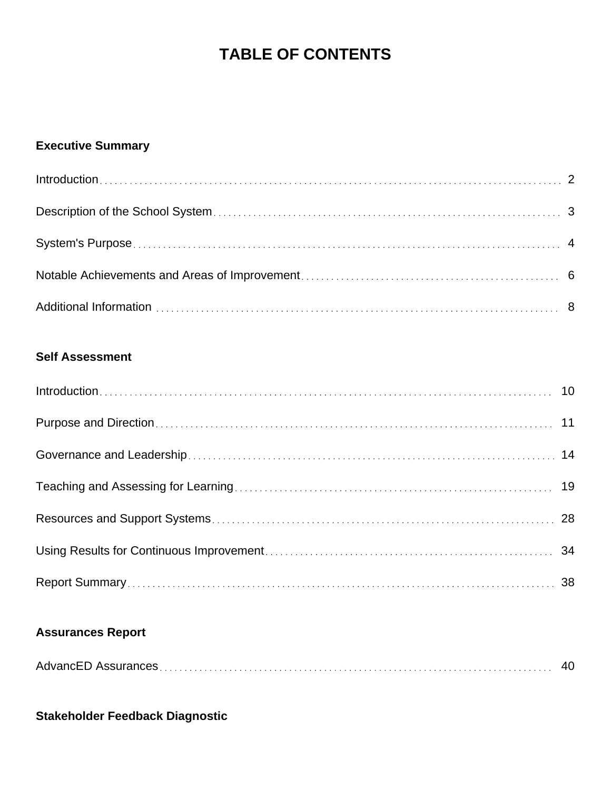# **TABLE OF CONTENTS**

# **Executive Summary**

# **Self Assessment**

# **Assurances Report**

|--|--|--|

# **Stakeholder Feedback Diagnostic**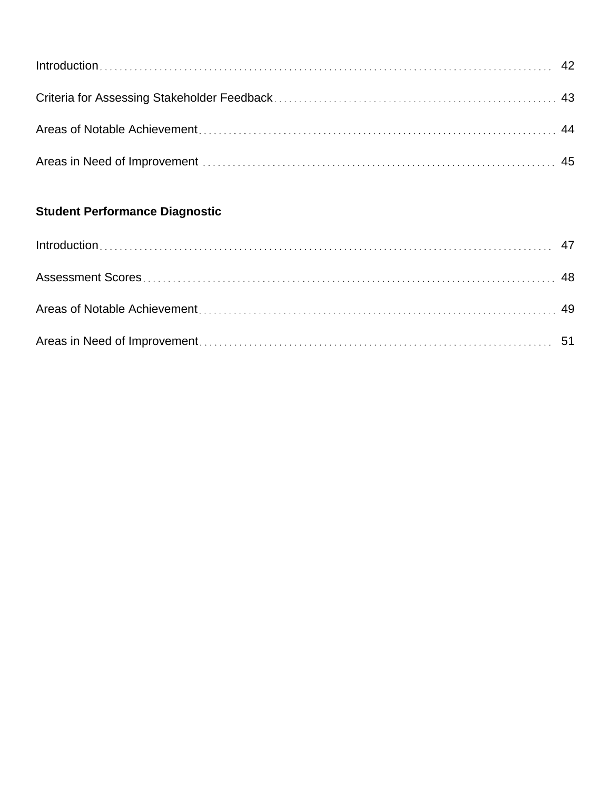# **Student Performance Diagnostic**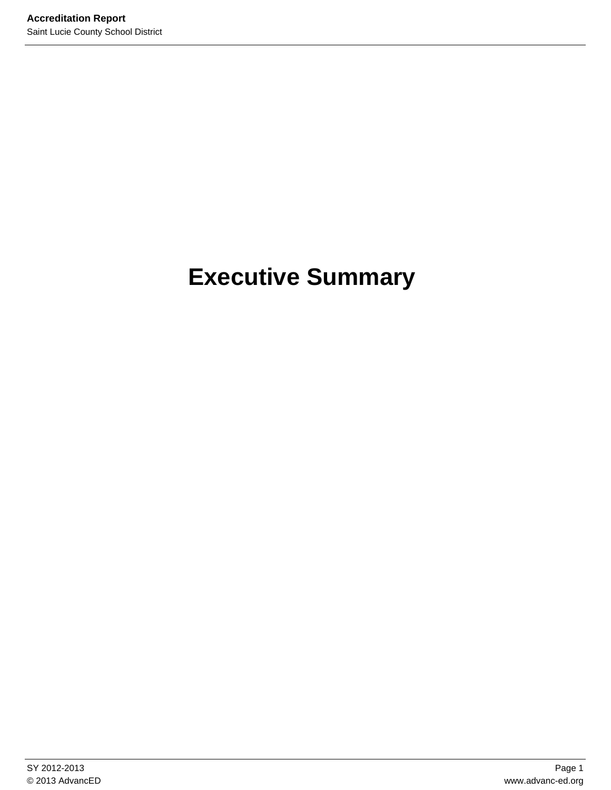# **Executive Summary**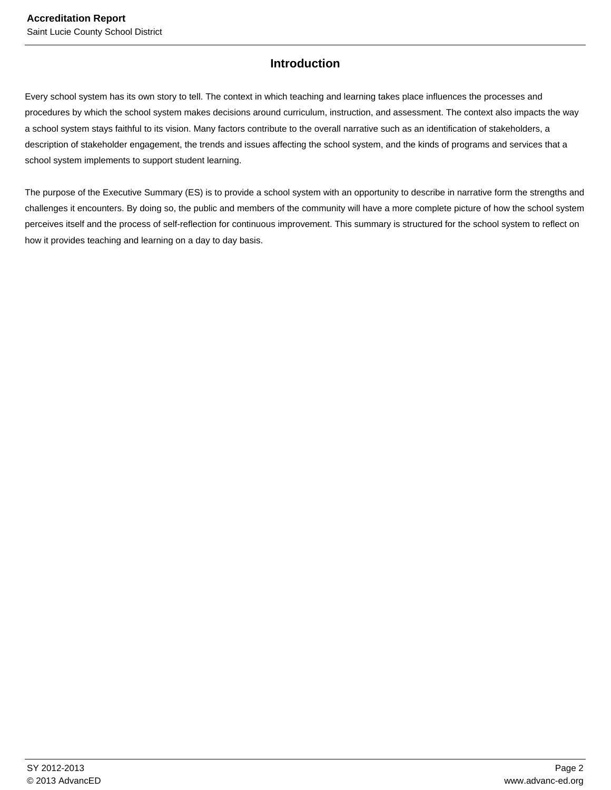# **Introduction**

Every school system has its own story to tell. The context in which teaching and learning takes place influences the processes and procedures by which the school system makes decisions around curriculum, instruction, and assessment. The context also impacts the way a school system stays faithful to its vision. Many factors contribute to the overall narrative such as an identification of stakeholders, a description of stakeholder engagement, the trends and issues affecting the school system, and the kinds of programs and services that a school system implements to support student learning.

The purpose of the Executive Summary (ES) is to provide a school system with an opportunity to describe in narrative form the strengths and challenges it encounters. By doing so, the public and members of the community will have a more complete picture of how the school system perceives itself and the process of self-reflection for continuous improvement. This summary is structured for the school system to reflect on how it provides teaching and learning on a day to day basis.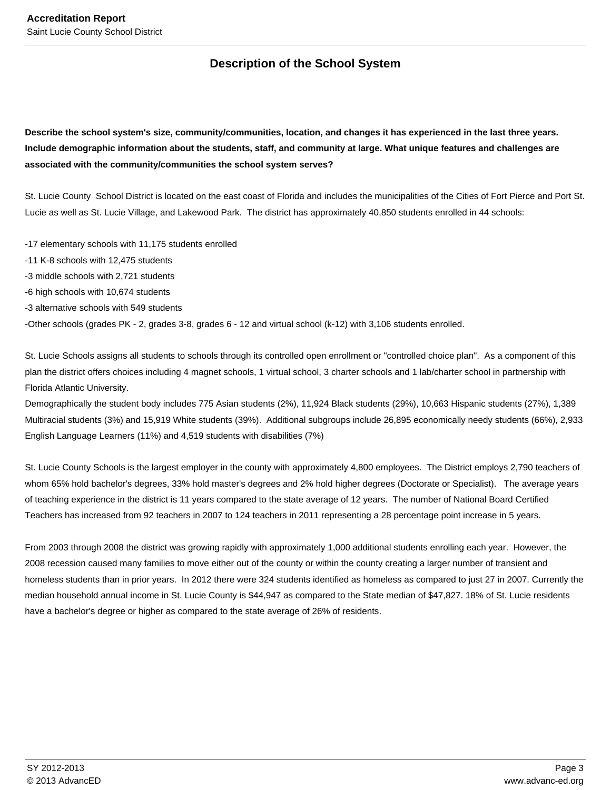# **Description of the School System**

**Describe the school system's size, community/communities, location, and changes it has experienced in the last three years. Include demographic information about the students, staff, and community at large. What unique features and challenges are associated with the community/communities the school system serves?**

St. Lucie County School District is located on the east coast of Florida and includes the municipalities of the Cities of Fort Pierce and Port St. Lucie as well as St. Lucie Village, and Lakewood Park. The district has approximately 40,850 students enrolled in 44 schools:

-17 elementary schools with 11,175 students enrolled

- -11 K-8 schools with 12,475 students
- -3 middle schools with 2,721 students
- -6 high schools with 10,674 students
- -3 alternative schools with 549 students

-Other schools (grades PK - 2, grades 3-8, grades 6 - 12 and virtual school (k-12) with 3,106 students enrolled.

St. Lucie Schools assigns all students to schools through its controlled open enrollment or "controlled choice plan". As a component of this plan the district offers choices including 4 magnet schools, 1 virtual school, 3 charter schools and 1 lab/charter school in partnership with Florida Atlantic University.

Demographically the student body includes 775 Asian students (2%), 11,924 Black students (29%), 10,663 Hispanic students (27%), 1,389 Multiracial students (3%) and 15,919 White students (39%). Additional subgroups include 26,895 economically needy students (66%), 2,933 English Language Learners (11%) and 4,519 students with disabilities (7%)

St. Lucie County Schools is the largest employer in the county with approximately 4,800 employees. The District employs 2,790 teachers of whom 65% hold bachelor's degrees, 33% hold master's degrees and 2% hold higher degrees (Doctorate or Specialist). The average years of teaching experience in the district is 11 years compared to the state average of 12 years. The number of National Board Certified Teachers has increased from 92 teachers in 2007 to 124 teachers in 2011 representing a 28 percentage point increase in 5 years.

From 2003 through 2008 the district was growing rapidly with approximately 1,000 additional students enrolling each year. However, the 2008 recession caused many families to move either out of the county or within the county creating a larger number of transient and homeless students than in prior years. In 2012 there were 324 students identified as homeless as compared to just 27 in 2007. Currently the median household annual income in St. Lucie County is \$44,947 as compared to the State median of \$47,827. 18% of St. Lucie residents have a bachelor's degree or higher as compared to the state average of 26% of residents.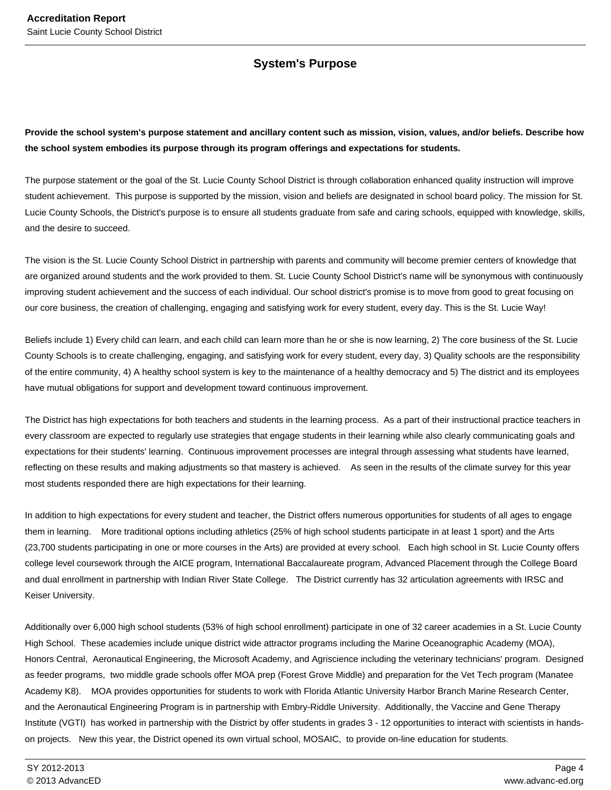# **System's Purpose**

**Provide the school system's purpose statement and ancillary content such as mission, vision, values, and/or beliefs. Describe how the school system embodies its purpose through its program offerings and expectations for students.**

The purpose statement or the goal of the St. Lucie County School District is through collaboration enhanced quality instruction will improve student achievement. This purpose is supported by the mission, vision and beliefs are designated in school board policy. The mission for St. Lucie County Schools, the District's purpose is to ensure all students graduate from safe and caring schools, equipped with knowledge, skills, and the desire to succeed.

The vision is the St. Lucie County School District in partnership with parents and community will become premier centers of knowledge that are organized around students and the work provided to them. St. Lucie County School District's name will be synonymous with continuously improving student achievement and the success of each individual. Our school district's promise is to move from good to great focusing on our core business, the creation of challenging, engaging and satisfying work for every student, every day. This is the St. Lucie Way!

Beliefs include 1) Every child can learn, and each child can learn more than he or she is now learning, 2) The core business of the St. Lucie County Schools is to create challenging, engaging, and satisfying work for every student, every day, 3) Quality schools are the responsibility of the entire community, 4) A healthy school system is key to the maintenance of a healthy democracy and 5) The district and its employees have mutual obligations for support and development toward continuous improvement.

The District has high expectations for both teachers and students in the learning process. As a part of their instructional practice teachers in every classroom are expected to regularly use strategies that engage students in their learning while also clearly communicating goals and expectations for their students' learning. Continuous improvement processes are integral through assessing what students have learned, reflecting on these results and making adjustments so that mastery is achieved. As seen in the results of the climate survey for this year most students responded there are high expectations for their learning.

In addition to high expectations for every student and teacher, the District offers numerous opportunities for students of all ages to engage them in learning. More traditional options including athletics (25% of high school students participate in at least 1 sport) and the Arts (23,700 students participating in one or more courses in the Arts) are provided at every school. Each high school in St. Lucie County offers college level coursework through the AICE program, International Baccalaureate program, Advanced Placement through the College Board and dual enrollment in partnership with Indian River State College. The District currently has 32 articulation agreements with IRSC and Keiser University.

Additionally over 6,000 high school students (53% of high school enrollment) participate in one of 32 career academies in a St. Lucie County High School. These academies include unique district wide attractor programs including the Marine Oceanographic Academy (MOA), Honors Central, Aeronautical Engineering, the Microsoft Academy, and Agriscience including the veterinary technicians' program. Designed as feeder programs, two middle grade schools offer MOA prep (Forest Grove Middle) and preparation for the Vet Tech program (Manatee Academy K8). MOA provides opportunities for students to work with Florida Atlantic University Harbor Branch Marine Research Center, and the Aeronautical Engineering Program is in partnership with Embry-Riddle University. Additionally, the Vaccine and Gene Therapy Institute (VGTI) has worked in partnership with the District by offer students in grades 3 - 12 opportunities to interact with scientists in handson projects. New this year, the District opened its own virtual school, MOSAIC, to provide on-line education for students.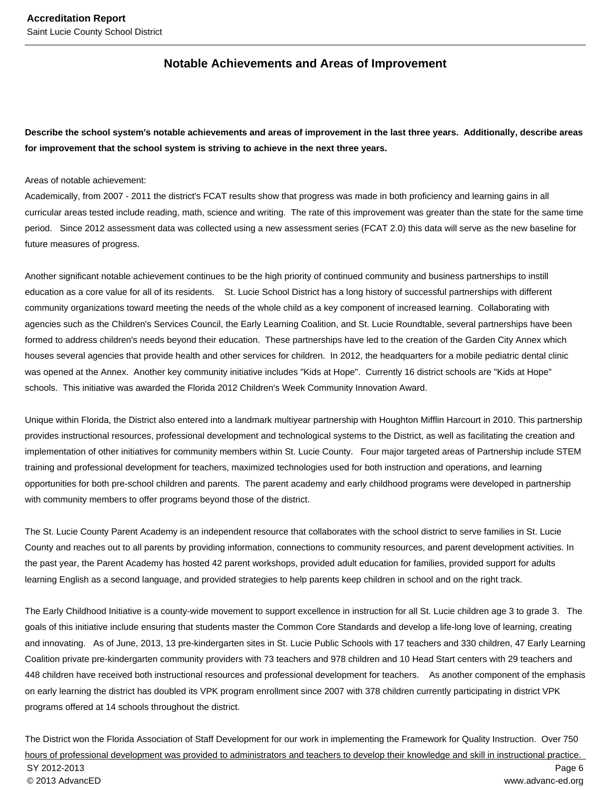### **Notable Achievements and Areas of Improvement**

**Describe the school system's notable achievements and areas of improvement in the last three years. Additionally, describe areas for improvement that the school system is striving to achieve in the next three years.**

Areas of notable achievement:

Academically, from 2007 - 2011 the district's FCAT results show that progress was made in both proficiency and learning gains in all curricular areas tested include reading, math, science and writing. The rate of this improvement was greater than the state for the same time period. Since 2012 assessment data was collected using a new assessment series (FCAT 2.0) this data will serve as the new baseline for future measures of progress.

Another significant notable achievement continues to be the high priority of continued community and business partnerships to instill education as a core value for all of its residents. St. Lucie School District has a long history of successful partnerships with different community organizations toward meeting the needs of the whole child as a key component of increased learning. Collaborating with agencies such as the Children's Services Council, the Early Learning Coalition, and St. Lucie Roundtable, several partnerships have been formed to address children's needs beyond their education. These partnerships have led to the creation of the Garden City Annex which houses several agencies that provide health and other services for children. In 2012, the headquarters for a mobile pediatric dental clinic was opened at the Annex. Another key community initiative includes "Kids at Hope". Currently 16 district schools are "Kids at Hope" schools. This initiative was awarded the Florida 2012 Children's Week Community Innovation Award.

Unique within Florida, the District also entered into a landmark multiyear partnership with Houghton Mifflin Harcourt in 2010. This partnership provides instructional resources, professional development and technological systems to the District, as well as facilitating the creation and implementation of other initiatives for community members within St. Lucie County. Four major targeted areas of Partnership include STEM training and professional development for teachers, maximized technologies used for both instruction and operations, and learning opportunities for both pre-school children and parents. The parent academy and early childhood programs were developed in partnership with community members to offer programs beyond those of the district.

The St. Lucie County Parent Academy is an independent resource that collaborates with the school district to serve families in St. Lucie County and reaches out to all parents by providing information, connections to community resources, and parent development activities. In the past year, the Parent Academy has hosted 42 parent workshops, provided adult education for families, provided support for adults learning English as a second language, and provided strategies to help parents keep children in school and on the right track.

The Early Childhood Initiative is a county-wide movement to support excellence in instruction for all St. Lucie children age 3 to grade 3. The goals of this initiative include ensuring that students master the Common Core Standards and develop a life-long love of learning, creating and innovating. As of June, 2013, 13 pre-kindergarten sites in St. Lucie Public Schools with 17 teachers and 330 children, 47 Early Learning Coalition private pre-kindergarten community providers with 73 teachers and 978 children and 10 Head Start centers with 29 teachers and 448 children have received both instructional resources and professional development for teachers. As another component of the emphasis on early learning the district has doubled its VPK program enrollment since 2007 with 378 children currently participating in district VPK programs offered at 14 schools throughout the district.

The District won the Florida Association of Staff Development for our work in implementing the Framework for Quality Instruction. Over 750 hours of professional development was provided to administrators and teachers to develop their knowledge and skill in instructional practice. SY 2012-2013 Page 6 © 2013 AdvancED www.advanc-ed.org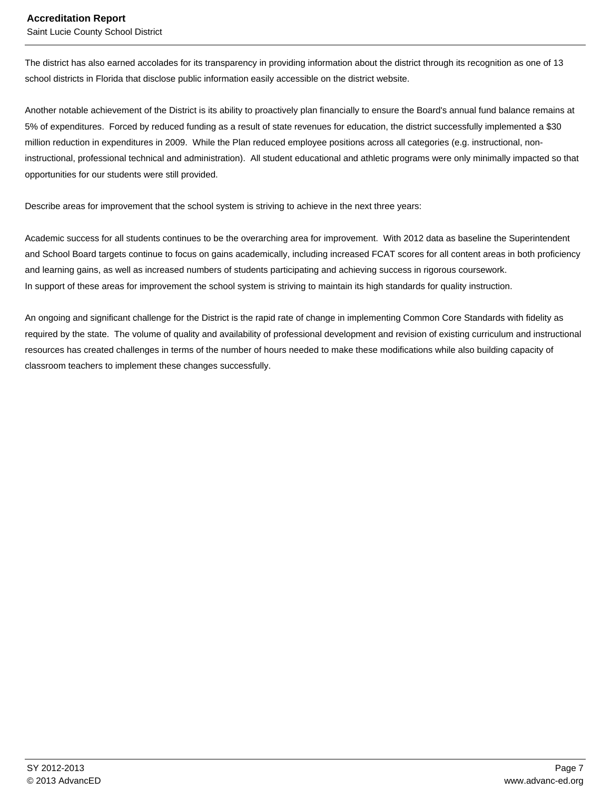Saint Lucie County School District

The district has also earned accolades for its transparency in providing information about the district through its recognition as one of 13 school districts in Florida that disclose public information easily accessible on the district website.

Another notable achievement of the District is its ability to proactively plan financially to ensure the Board's annual fund balance remains at 5% of expenditures. Forced by reduced funding as a result of state revenues for education, the district successfully implemented a \$30 million reduction in expenditures in 2009. While the Plan reduced employee positions across all categories (e.g. instructional, noninstructional, professional technical and administration). All student educational and athletic programs were only minimally impacted so that opportunities for our students were still provided.

Describe areas for improvement that the school system is striving to achieve in the next three years:

Academic success for all students continues to be the overarching area for improvement. With 2012 data as baseline the Superintendent and School Board targets continue to focus on gains academically, including increased FCAT scores for all content areas in both proficiency and learning gains, as well as increased numbers of students participating and achieving success in rigorous coursework. In support of these areas for improvement the school system is striving to maintain its high standards for quality instruction.

An ongoing and significant challenge for the District is the rapid rate of change in implementing Common Core Standards with fidelity as required by the state. The volume of quality and availability of professional development and revision of existing curriculum and instructional resources has created challenges in terms of the number of hours needed to make these modifications while also building capacity of classroom teachers to implement these changes successfully.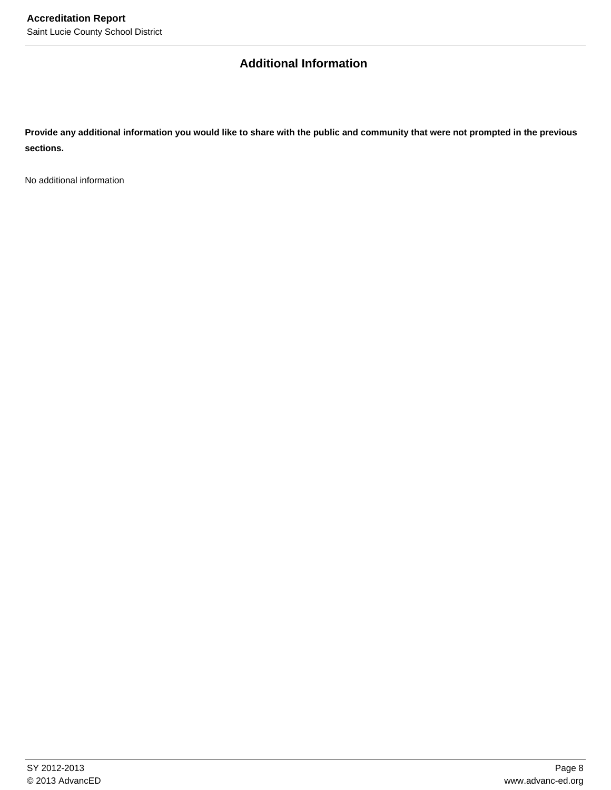# **Additional Information**

**Provide any additional information you would like to share with the public and community that were not prompted in the previous sections.**

No additional information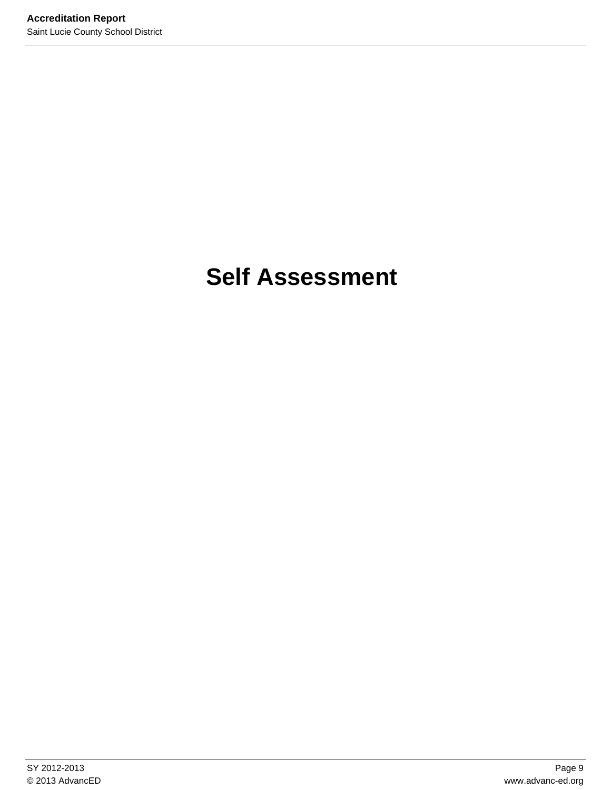# **Self Assessment**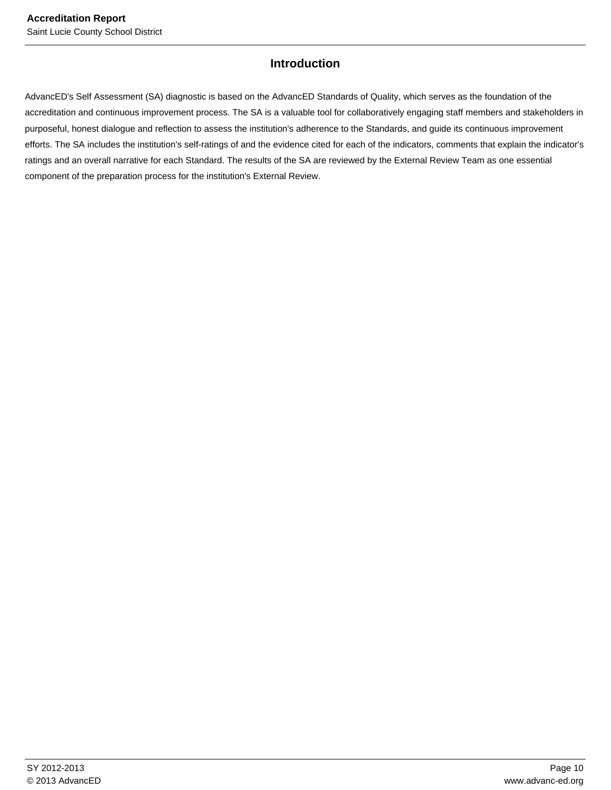# **Introduction**

AdvancED's Self Assessment (SA) diagnostic is based on the AdvancED Standards of Quality, which serves as the foundation of the accreditation and continuous improvement process. The SA is a valuable tool for collaboratively engaging staff members and stakeholders in purposeful, honest dialogue and reflection to assess the institution's adherence to the Standards, and guide its continuous improvement efforts. The SA includes the institution's self-ratings of and the evidence cited for each of the indicators, comments that explain the indicator's ratings and an overall narrative for each Standard. The results of the SA are reviewed by the External Review Team as one essential component of the preparation process for the institution's External Review.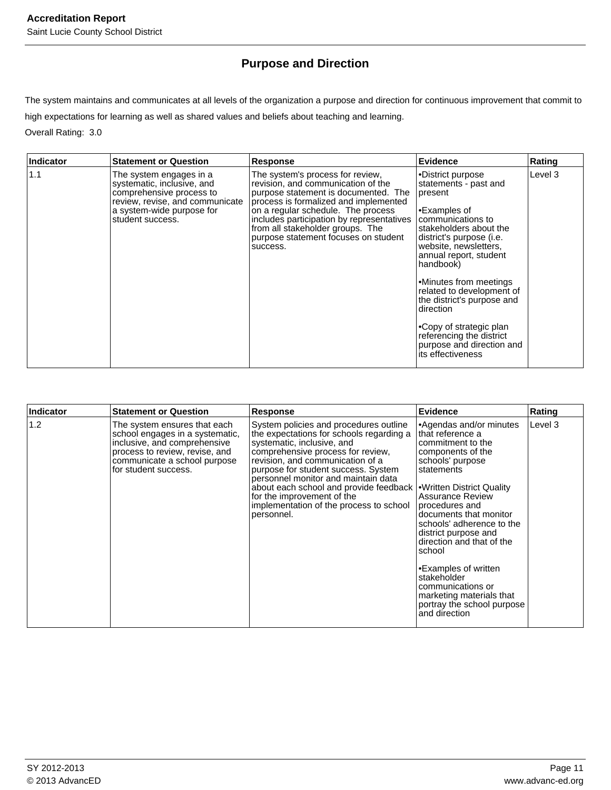# **Purpose and Direction**

The system maintains and communicates at all levels of the organization a purpose and direction for continuous improvement that commit to high expectations for learning as well as shared values and beliefs about teaching and learning.

Overall Rating: 3.0

| <b>Indicator</b> | <b>Statement or Question</b>                                                                                                                                          | <b>Response</b>                                                                                                                                                                                                                                                                                                                    | Evidence                                                                                                                                                                                                                                                                                                                                                                                                                       | Rating  |
|------------------|-----------------------------------------------------------------------------------------------------------------------------------------------------------------------|------------------------------------------------------------------------------------------------------------------------------------------------------------------------------------------------------------------------------------------------------------------------------------------------------------------------------------|--------------------------------------------------------------------------------------------------------------------------------------------------------------------------------------------------------------------------------------------------------------------------------------------------------------------------------------------------------------------------------------------------------------------------------|---------|
| 1.1              | The system engages in a<br>systematic, inclusive, and<br>comprehensive process to<br>review, revise, and communicate<br>a system-wide purpose for<br>student success. | The system's process for review,<br>revision, and communication of the<br>purpose statement is documented. The<br>process is formalized and implemented<br>on a regular schedule. The process<br>includes participation by representatives<br>from all stakeholder groups. The<br>purpose statement focuses on student<br>success. | •District purpose<br>statements - past and<br>Ipresent<br>l•Examples of<br>communications to<br>Istakeholders about the<br>district's purpose (i.e.<br>website, newsletters,<br>annual report, student<br>handbook)<br>•Minutes from meetings<br>related to development of<br>the district's purpose and<br>direction<br>•Copy of strategic plan<br>referencing the district<br>purpose and direction and<br>its effectiveness | Level 3 |

| ∣Indicator | <b>Statement or Question</b>                                                                                                                                                              | <b>Response</b>                                                                                                                                                                                                                                                                                                                                                                                                                     | Evidence                                                                                                                                                                                                                                                                                                                                                                                                                           | Rating  |
|------------|-------------------------------------------------------------------------------------------------------------------------------------------------------------------------------------------|-------------------------------------------------------------------------------------------------------------------------------------------------------------------------------------------------------------------------------------------------------------------------------------------------------------------------------------------------------------------------------------------------------------------------------------|------------------------------------------------------------------------------------------------------------------------------------------------------------------------------------------------------------------------------------------------------------------------------------------------------------------------------------------------------------------------------------------------------------------------------------|---------|
| 1.2        | The system ensures that each<br>school engages in a systematic,<br>inclusive, and comprehensive<br>process to review, revise, and<br>communicate a school purpose<br>for student success. | System policies and procedures outline<br>the expectations for schools regarding a<br>systematic, inclusive, and<br>comprehensive process for review,<br>revision, and communication of a<br>purpose for student success. System<br>personnel monitor and maintain data<br>about each school and provide feedback • Written District Quality<br>for the improvement of the<br>implementation of the process to school<br>personnel. | •Agendas and/or minutes<br>lthat reference a<br>commitment to the<br>components of the<br>schools' purpose<br>statements<br><b>Assurance Review</b><br>procedures and<br>documents that monitor<br>schools' adherence to the<br>district purpose and<br>direction and that of the<br>school<br>•Examples of written<br>stakeholder<br>communications or<br>marketing materials that<br>portray the school purpose<br>and direction | Level 3 |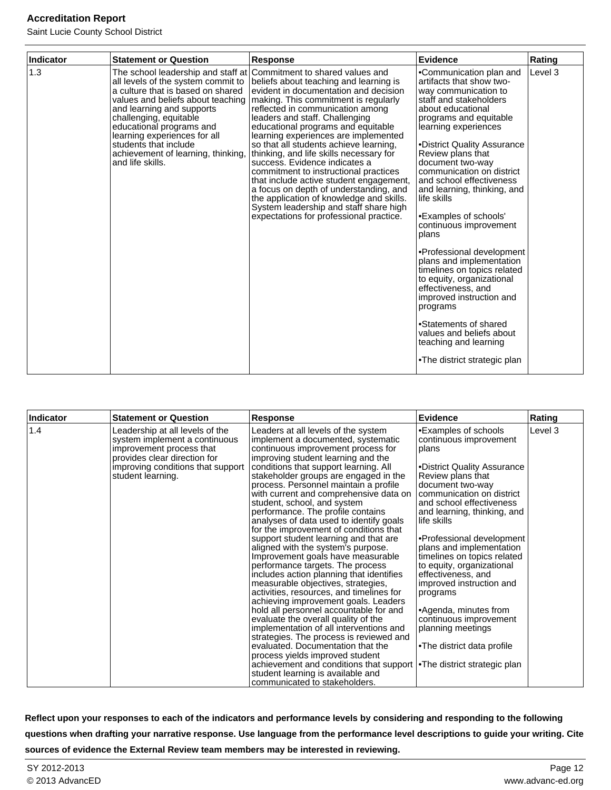Saint Lucie County School District

| Indicator | <b>Statement or Question</b>                                                                                                                                                                                                                                                                                       | <b>Response</b>                                                                                                                                                                                                                                                                                                                                                                                                                                                                                                                                                                                                                                                                                                                          | <b>Evidence</b>                                                                                                                                                                                                                                                                                                                                                                                                                                                                                                                                                                                                                                                                                                            | Rating  |
|-----------|--------------------------------------------------------------------------------------------------------------------------------------------------------------------------------------------------------------------------------------------------------------------------------------------------------------------|------------------------------------------------------------------------------------------------------------------------------------------------------------------------------------------------------------------------------------------------------------------------------------------------------------------------------------------------------------------------------------------------------------------------------------------------------------------------------------------------------------------------------------------------------------------------------------------------------------------------------------------------------------------------------------------------------------------------------------------|----------------------------------------------------------------------------------------------------------------------------------------------------------------------------------------------------------------------------------------------------------------------------------------------------------------------------------------------------------------------------------------------------------------------------------------------------------------------------------------------------------------------------------------------------------------------------------------------------------------------------------------------------------------------------------------------------------------------------|---------|
| 1.3       | all levels of the system commit to<br>a culture that is based on shared<br>values and beliefs about teaching<br>and learning and supports<br>challenging, equitable<br>educational programs and<br>learning experiences for all<br>students that include<br>achievement of learning, thinking,<br>and life skills. | The school leadership and staff at Commitment to shared values and<br>beliefs about teaching and learning is<br>levident in documentation and decision<br>Imaking. This commitment is regularly<br>reflected in communication among<br>leaders and staff. Challenging<br>educational programs and equitable<br>learning experiences are implemented<br>so that all students achieve learning,<br>thinking, and life skills necessary for<br>success. Evidence indicates a<br>commitment to instructional practices<br>that include active student engagement,<br>a focus on depth of understanding, and<br>the application of knowledge and skills.<br>System leadership and staff share high<br>expectations for professional practice. | •Communication plan and<br>artifacts that show two-<br>way communication to<br>staff and stakeholders<br>about educational<br>programs and equitable<br>learning experiences<br>•District Quality Assurance<br>Review plans that<br>document two-way<br>communication on district<br>land school effectiveness<br>and learning, thinking, and<br>Ilife skills<br>•Examples of schools'<br>continuous improvement<br>plans<br>•Professional development<br>plans and implementation<br>timelines on topics related<br>to equity, organizational<br>effectiveness, and<br>improved instruction and<br>programs<br>•Statements of shared<br>values and beliefs about<br>teaching and learning<br>•The district strategic plan | Level 3 |

| Indicator | <b>Statement or Question</b>                                                                                                                                                           | <b>Response</b>                                                                                                                                                                                                                                                                                                                                                                                                                                                                                                                                                                                                                                                                                                                                                                                                                                                                                                                                                                                                                                                                                                                                                                                                 | <b>Evidence</b>                                                                                                                                                                                                                                                                                                                                                                                                                                                                                                                 | Rating  |
|-----------|----------------------------------------------------------------------------------------------------------------------------------------------------------------------------------------|-----------------------------------------------------------------------------------------------------------------------------------------------------------------------------------------------------------------------------------------------------------------------------------------------------------------------------------------------------------------------------------------------------------------------------------------------------------------------------------------------------------------------------------------------------------------------------------------------------------------------------------------------------------------------------------------------------------------------------------------------------------------------------------------------------------------------------------------------------------------------------------------------------------------------------------------------------------------------------------------------------------------------------------------------------------------------------------------------------------------------------------------------------------------------------------------------------------------|---------------------------------------------------------------------------------------------------------------------------------------------------------------------------------------------------------------------------------------------------------------------------------------------------------------------------------------------------------------------------------------------------------------------------------------------------------------------------------------------------------------------------------|---------|
| 1.4       | Leadership at all levels of the<br>system implement a continuous<br>improvement process that<br>provides clear direction for<br>improving conditions that support<br>student learning. | Leaders at all levels of the system<br>implement a documented, systematic<br>continuous improvement process for<br>improving student learning and the<br>conditions that support learning. All<br>stakeholder groups are engaged in the<br>process. Personnel maintain a profile<br>with current and comprehensive data on<br>student, school, and system<br>performance. The profile contains<br>analyses of data used to identify goals<br>for the improvement of conditions that<br>support student learning and that are<br>aligned with the system's purpose.<br>Improvement goals have measurable<br>performance targets. The process<br>includes action planning that identifies<br>measurable objectives, strategies,<br>activities, resources, and timelines for<br>achieving improvement goals. Leaders<br>hold all personnel accountable for and<br>evaluate the overall quality of the<br>implementation of all interventions and<br>strategies. The process is reviewed and<br>evaluated. Documentation that the<br>process yields improved student<br>achievement and conditions that support • The district strategic plan<br>student learning is available and<br>communicated to stakeholders. | •Examples of schools<br>continuous improvement<br>plans<br>•District Quality Assurance<br>Review plans that<br>document two-way<br>communication on district<br>and school effectiveness<br>and learning, thinking, and<br>life skills<br>•Professional development<br>plans and implementation<br>timelines on topics related<br>to equity, organizational<br>effectiveness, and<br>improved instruction and<br>programs<br>•Agenda, minutes from<br>continuous improvement<br>planning meetings<br>•The district data profile | Level 3 |

**Reflect upon your responses to each of the indicators and performance levels by considering and responding to the following questions when drafting your narrative response. Use language from the performance level descriptions to guide your writing. Cite sources of evidence the External Review team members may be interested in reviewing.**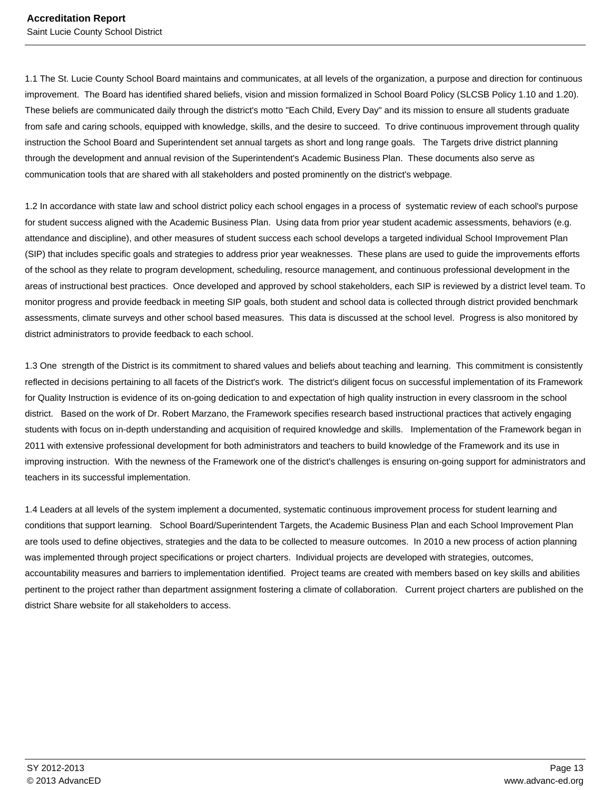1.1 The St. Lucie County School Board maintains and communicates, at all levels of the organization, a purpose and direction for continuous improvement. The Board has identified shared beliefs, vision and mission formalized in School Board Policy (SLCSB Policy 1.10 and 1.20). These beliefs are communicated daily through the district's motto "Each Child, Every Day" and its mission to ensure all students graduate from safe and caring schools, equipped with knowledge, skills, and the desire to succeed. To drive continuous improvement through quality instruction the School Board and Superintendent set annual targets as short and long range goals. The Targets drive district planning through the development and annual revision of the Superintendent's Academic Business Plan. These documents also serve as communication tools that are shared with all stakeholders and posted prominently on the district's webpage.

1.2 In accordance with state law and school district policy each school engages in a process of systematic review of each school's purpose for student success aligned with the Academic Business Plan. Using data from prior year student academic assessments, behaviors (e.g. attendance and discipline), and other measures of student success each school develops a targeted individual School Improvement Plan (SIP) that includes specific goals and strategies to address prior year weaknesses. These plans are used to guide the improvements efforts of the school as they relate to program development, scheduling, resource management, and continuous professional development in the areas of instructional best practices. Once developed and approved by school stakeholders, each SIP is reviewed by a district level team. To monitor progress and provide feedback in meeting SIP goals, both student and school data is collected through district provided benchmark assessments, climate surveys and other school based measures. This data is discussed at the school level. Progress is also monitored by district administrators to provide feedback to each school.

1.3 One strength of the District is its commitment to shared values and beliefs about teaching and learning. This commitment is consistently reflected in decisions pertaining to all facets of the District's work. The district's diligent focus on successful implementation of its Framework for Quality Instruction is evidence of its on-going dedication to and expectation of high quality instruction in every classroom in the school district. Based on the work of Dr. Robert Marzano, the Framework specifies research based instructional practices that actively engaging students with focus on in-depth understanding and acquisition of required knowledge and skills. Implementation of the Framework began in 2011 with extensive professional development for both administrators and teachers to build knowledge of the Framework and its use in improving instruction. With the newness of the Framework one of the district's challenges is ensuring on-going support for administrators and teachers in its successful implementation.

1.4 Leaders at all levels of the system implement a documented, systematic continuous improvement process for student learning and conditions that support learning. School Board/Superintendent Targets, the Academic Business Plan and each School Improvement Plan are tools used to define objectives, strategies and the data to be collected to measure outcomes. In 2010 a new process of action planning was implemented through project specifications or project charters. Individual projects are developed with strategies, outcomes, accountability measures and barriers to implementation identified. Project teams are created with members based on key skills and abilities pertinent to the project rather than department assignment fostering a climate of collaboration. Current project charters are published on the district Share website for all stakeholders to access.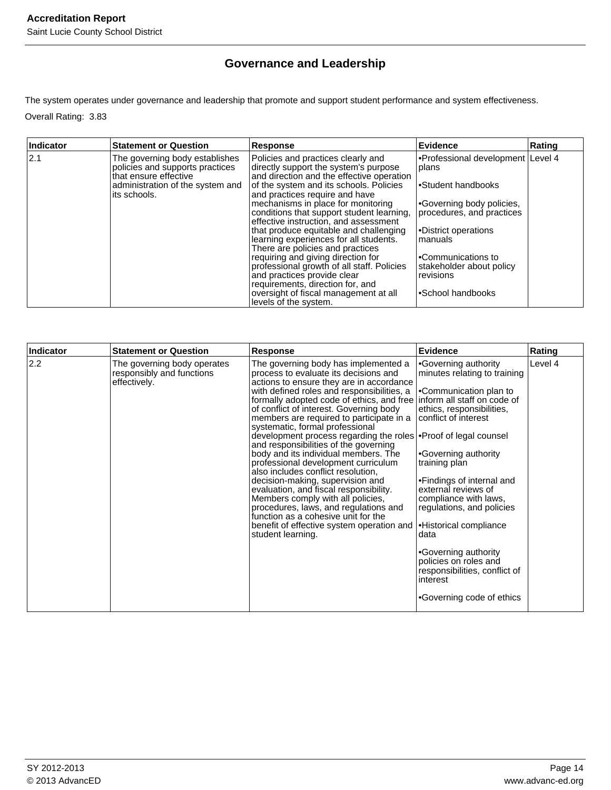# **Governance and Leadership**

The system operates under governance and leadership that promote and support student performance and system effectiveness.

Overall Rating: 3.83

| Indicator | <b>Statement or Question</b>                                                               | <b>Response</b>                                                                                                          | Evidence                                                    | Rating |
|-----------|--------------------------------------------------------------------------------------------|--------------------------------------------------------------------------------------------------------------------------|-------------------------------------------------------------|--------|
| 2.1       | The governing body establishes<br>policies and supports practices<br>that ensure effective | Policies and practices clearly and<br>directly support the system's purpose<br>and direction and the effective operation | •Professional development Level 4<br>plans                  |        |
|           | administration of the system and<br>its schools.                                           | of the system and its schools. Policies<br>and practices require and have                                                | •Student handbooks                                          |        |
|           |                                                                                            | mechanisms in place for monitoring<br>conditions that support student learning.<br>effective instruction, and assessment | Governing body policies,<br>procedures, and practices       |        |
|           |                                                                                            | that produce equitable and challenging<br>learning experiences for all students.<br>There are policies and practices     | •District operations<br>manuals                             |        |
|           |                                                                                            | requiring and giving direction for<br>professional growth of all staff. Policies<br>and practices provide clear          | •Communications to<br>stakeholder about policy<br>revisions |        |
|           |                                                                                            | requirements, direction for, and<br>oversight of fiscal management at all<br>levels of the system.                       | •School handbooks                                           |        |

| The governing body operates<br>The governing body has implemented a<br>Governing authority<br>Level 4<br>responsibly and functions<br>process to evaluate its decisions and<br>minutes relating to training<br>effectively.<br>actions to ensure they are in accordance<br>with defined roles and responsibilities, a<br><b>Communication plan to</b><br>formally adopted code of ethics, and free  inform all staff on code of<br>of conflict of interest. Governing body<br>ethics, responsibilities,<br>members are required to participate in a<br>conflict of interest<br>systematic, formal professional<br>development process regarding the roles   Proof of legal counsel<br>and responsibilities of the governing<br>body and its individual members. The<br>Governing authority-<br>professional development curriculum<br>Itraining plan<br>also includes conflict resolution,<br>decision-making, supervision and<br>•Findings of internal and<br>evaluation, and fiscal responsibility.<br>external reviews of | <b>Indicator</b> | <b>Statement or Question</b> | <b>Response</b>                   | <b>Evidence</b>       | Rating |
|------------------------------------------------------------------------------------------------------------------------------------------------------------------------------------------------------------------------------------------------------------------------------------------------------------------------------------------------------------------------------------------------------------------------------------------------------------------------------------------------------------------------------------------------------------------------------------------------------------------------------------------------------------------------------------------------------------------------------------------------------------------------------------------------------------------------------------------------------------------------------------------------------------------------------------------------------------------------------------------------------------------------------|------------------|------------------------------|-----------------------------------|-----------------------|--------|
| procedures, laws, and regulations and<br>regulations, and policies<br>function as a cohesive unit for the<br>benefit of effective system operation and   Historical compliance<br>student learning.<br>data<br>•Governing authority<br>policies on roles and<br>responsibilities, conflict of<br>interest<br>Governing code of ethics                                                                                                                                                                                                                                                                                                                                                                                                                                                                                                                                                                                                                                                                                        | 2.2              |                              | Members comply with all policies, | compliance with laws, |        |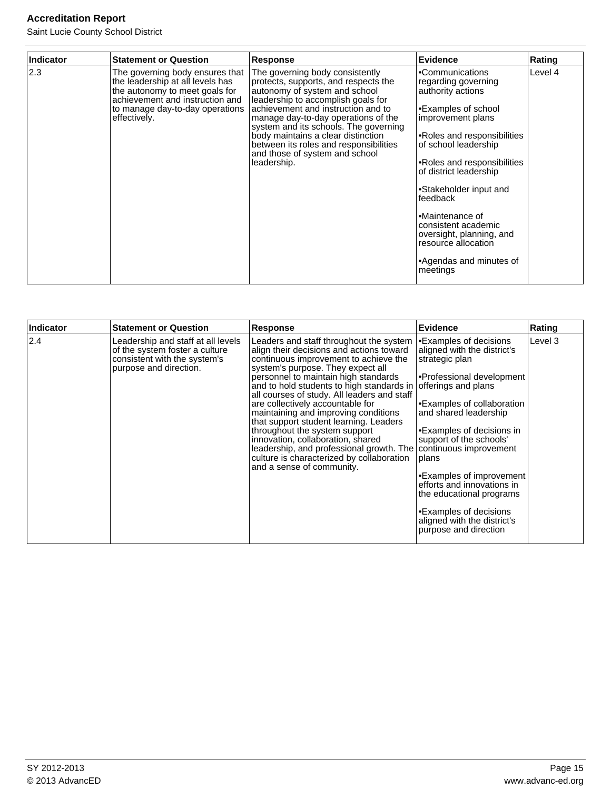| Indicator | <b>Statement or Question</b>                                                                                                                                                                | Response                                                                                                                                                                                                                                                                                                                                                                                              | Evidence                                                                                                                                                                                                                                                                                                                                                                                         | Rating  |
|-----------|---------------------------------------------------------------------------------------------------------------------------------------------------------------------------------------------|-------------------------------------------------------------------------------------------------------------------------------------------------------------------------------------------------------------------------------------------------------------------------------------------------------------------------------------------------------------------------------------------------------|--------------------------------------------------------------------------------------------------------------------------------------------------------------------------------------------------------------------------------------------------------------------------------------------------------------------------------------------------------------------------------------------------|---------|
| 2.3       | The governing body ensures that<br>the leadership at all levels has<br>the autonomy to meet goals for<br>achievement and instruction and<br>to manage day-to-day operations<br>effectively. | The governing body consistently<br>protects, supports, and respects the<br>autonomy of system and school<br>leadership to accomplish goals for<br>achievement and instruction and to<br>manage day-to-day operations of the<br>system and its schools. The governing<br>body maintains a clear distinction<br>between its roles and responsibilities<br>and those of system and school<br>leadership. | •Communications<br>regarding governing<br>authority actions<br>Examples of school<br>improvement plans<br>•Roles and responsibilities<br>of school leadership<br>•Roles and responsibilities<br>of district leadership<br>•Stakeholder input and<br>feedback<br>l•Maintenance of<br>consistent academic<br>oversight, planning, and<br>resource allocation<br>Agendas and minutes of<br>meetings | Level 4 |

| <b>Indicator</b> | <b>Statement or Question</b>                                                                                                   | <b>Response</b>                                                                                                                                                                                                                                                                                                                                                                                                                                                                                                                                                                                                                                | <b>Evidence</b>                                                                                                                                                                                                                                                                                                                                                                                                                          | Rating  |
|------------------|--------------------------------------------------------------------------------------------------------------------------------|------------------------------------------------------------------------------------------------------------------------------------------------------------------------------------------------------------------------------------------------------------------------------------------------------------------------------------------------------------------------------------------------------------------------------------------------------------------------------------------------------------------------------------------------------------------------------------------------------------------------------------------------|------------------------------------------------------------------------------------------------------------------------------------------------------------------------------------------------------------------------------------------------------------------------------------------------------------------------------------------------------------------------------------------------------------------------------------------|---------|
| 2.4              | Leadership and staff at all levels<br>of the system foster a culture<br>consistent with the system's<br>purpose and direction. | Leaders and staff throughout the system<br>align their decisions and actions toward<br>continuous improvement to achieve the<br>system's purpose. They expect all<br>personnel to maintain high standards<br>and to hold students to high standards in<br>all courses of study. All leaders and staff<br>are collectively accountable for<br>maintaining and improving conditions<br>that support student learning. Leaders<br>throughout the system support<br>innovation, collaboration, shared<br>leadership, and professional growth. The continuous improvement<br>culture is characterized by collaboration<br>and a sense of community. | Examples of decisions <sup>-</sup><br>aligned with the district's<br>strategic plan<br>•Professional development<br>offerings and plans<br>•Examples of collaboration<br>and shared leadership<br>•Examples of decisions in<br>support of the schools'<br> plans<br>•Examples of improvement<br>efforts and innovations in<br>the educational programs<br>•Examples of decisions<br>aligned with the district's<br>purpose and direction | Level 3 |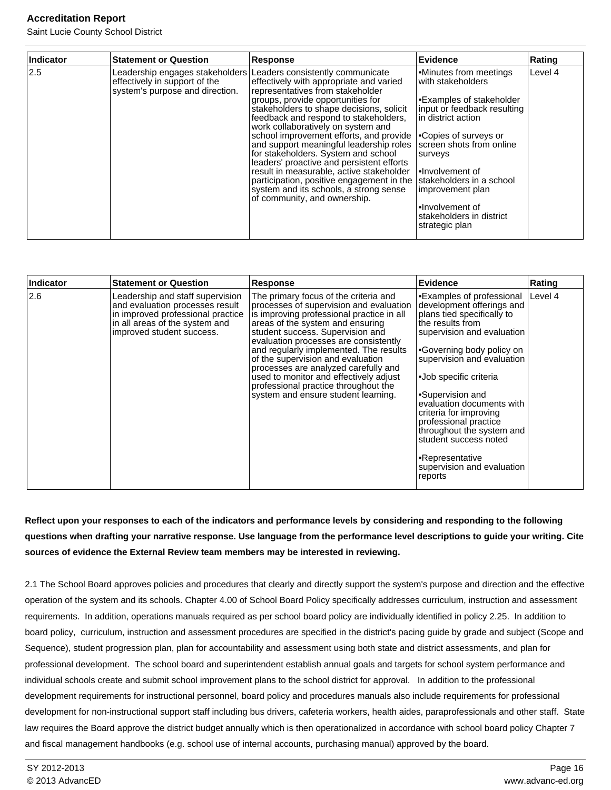Saint Lucie County School District

| Indicator | <b>Statement or Question</b>                                     | Response                                                                                                                                                                                                                                                                                                                                                                                                                                                                                                                                                                                                                                                       | Evidence                                                                                                                                                                                                                                                                                                                            | Rating  |
|-----------|------------------------------------------------------------------|----------------------------------------------------------------------------------------------------------------------------------------------------------------------------------------------------------------------------------------------------------------------------------------------------------------------------------------------------------------------------------------------------------------------------------------------------------------------------------------------------------------------------------------------------------------------------------------------------------------------------------------------------------------|-------------------------------------------------------------------------------------------------------------------------------------------------------------------------------------------------------------------------------------------------------------------------------------------------------------------------------------|---------|
| 2.5       | effectively in support of the<br>system's purpose and direction. | Leadership engages stakeholders   Leaders consistently communicate<br>effectively with appropriate and varied<br>representatives from stakeholder<br>groups, provide opportunities for<br>stakeholders to shape decisions, solicit<br>feedback and respond to stakeholders,<br>work collaboratively on system and<br>school improvement efforts, and provide<br>and support meaningful leadership roles<br>for stakeholders. System and school<br>leaders' proactive and persistent efforts<br>result in measurable, active stakeholder<br>participation, positive engagement in the<br>system and its schools, a strong sense<br>of community, and ownership. | Minutes from meetings<br>with stakeholders<br>l•Examples of stakeholder<br>input or feedback resulting<br>lin district action<br>l•Copies of surveys or<br>screen shots from online<br>surveys<br>l∙Involvement of<br>stakeholders in a school<br>improvement plan<br>•Involvement of<br>stakeholders in district<br>strategic plan | Level 4 |

| Indicator | <b>Statement or Question</b>                                                                                                                                            | <b>Response</b>                                                                                                                                                                                                                                                                                                                                                                                                                                                                                | Evidence                                                                                                                                                                                                                                                                                                                                                                                                                                                    | Rating |
|-----------|-------------------------------------------------------------------------------------------------------------------------------------------------------------------------|------------------------------------------------------------------------------------------------------------------------------------------------------------------------------------------------------------------------------------------------------------------------------------------------------------------------------------------------------------------------------------------------------------------------------------------------------------------------------------------------|-------------------------------------------------------------------------------------------------------------------------------------------------------------------------------------------------------------------------------------------------------------------------------------------------------------------------------------------------------------------------------------------------------------------------------------------------------------|--------|
| 2.6       | Leadership and staff supervision<br>and evaluation processes result<br>in improved professional practice<br>in all areas of the system and<br>improved student success. | The primary focus of the criteria and<br>processes of supervision and evaluation<br>is improving professional practice in all<br>areas of the system and ensuring<br>student success. Supervision and<br>evaluation processes are consistently<br>and regularly implemented. The results<br>of the supervision and evaluation<br>processes are analyzed carefully and<br>used to monitor and effectively adjust<br>professional practice throughout the<br>system and ensure student learning. | •Examples of professional   Level 4<br>development offerings and<br>plans tied specifically to<br>the results from<br>supervision and evaluation<br>•Governing body policy on<br>supervision and evaluation<br>·Job specific criteria<br>•Supervision and<br>evaluation documents with<br>criteria for improving<br>professional practice<br>throughout the system and<br>student success noted<br>•Representative<br>supervision and evaluation<br>reports |        |

# **Reflect upon your responses to each of the indicators and performance levels by considering and responding to the following questions when drafting your narrative response. Use language from the performance level descriptions to guide your writing. Cite sources of evidence the External Review team members may be interested in reviewing.**

2.1 The School Board approves policies and procedures that clearly and directly support the system's purpose and direction and the effective operation of the system and its schools. Chapter 4.00 of School Board Policy specifically addresses curriculum, instruction and assessment requirements. In addition, operations manuals required as per school board policy are individually identified in policy 2.25. In addition to board policy, curriculum, instruction and assessment procedures are specified in the district's pacing guide by grade and subject (Scope and Sequence), student progression plan, plan for accountability and assessment using both state and district assessments, and plan for professional development. The school board and superintendent establish annual goals and targets for school system performance and individual schools create and submit school improvement plans to the school district for approval. In addition to the professional development requirements for instructional personnel, board policy and procedures manuals also include requirements for professional development for non-instructional support staff including bus drivers, cafeteria workers, health aides, paraprofessionals and other staff. State law requires the Board approve the district budget annually which is then operationalized in accordance with school board policy Chapter 7 and fiscal management handbooks (e.g. school use of internal accounts, purchasing manual) approved by the board.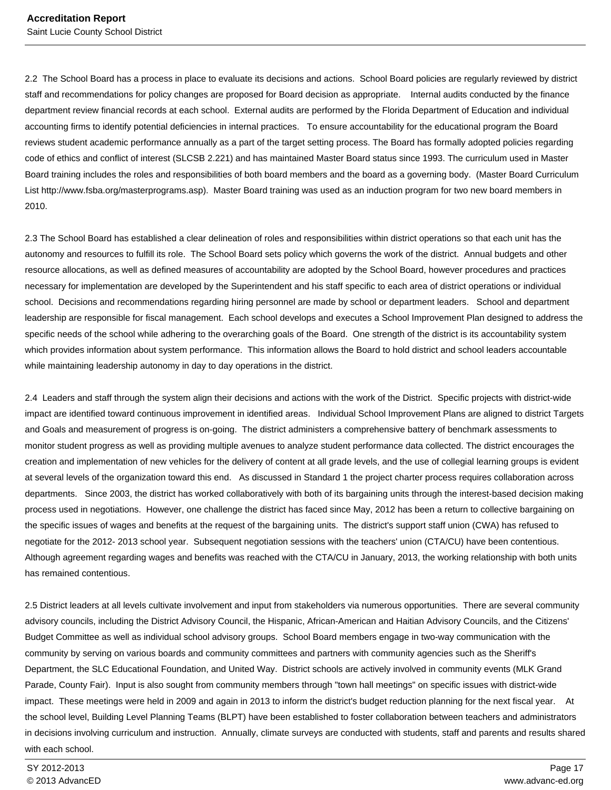2.2 The School Board has a process in place to evaluate its decisions and actions. School Board policies are regularly reviewed by district staff and recommendations for policy changes are proposed for Board decision as appropriate. Internal audits conducted by the finance department review financial records at each school. External audits are performed by the Florida Department of Education and individual accounting firms to identify potential deficiencies in internal practices. To ensure accountability for the educational program the Board reviews student academic performance annually as a part of the target setting process. The Board has formally adopted policies regarding code of ethics and conflict of interest (SLCSB 2.221) and has maintained Master Board status since 1993. The curriculum used in Master Board training includes the roles and responsibilities of both board members and the board as a governing body. (Master Board Curriculum List http://www.fsba.org/masterprograms.asp). Master Board training was used as an induction program for two new board members in 2010.

2.3 The School Board has established a clear delineation of roles and responsibilities within district operations so that each unit has the autonomy and resources to fulfill its role. The School Board sets policy which governs the work of the district. Annual budgets and other resource allocations, as well as defined measures of accountability are adopted by the School Board, however procedures and practices necessary for implementation are developed by the Superintendent and his staff specific to each area of district operations or individual school. Decisions and recommendations regarding hiring personnel are made by school or department leaders. School and department leadership are responsible for fiscal management. Each school develops and executes a School Improvement Plan designed to address the specific needs of the school while adhering to the overarching goals of the Board. One strength of the district is its accountability system which provides information about system performance. This information allows the Board to hold district and school leaders accountable while maintaining leadership autonomy in day to day operations in the district.

2.4 Leaders and staff through the system align their decisions and actions with the work of the District. Specific projects with district-wide impact are identified toward continuous improvement in identified areas. Individual School Improvement Plans are aligned to district Targets and Goals and measurement of progress is on-going. The district administers a comprehensive battery of benchmark assessments to monitor student progress as well as providing multiple avenues to analyze student performance data collected. The district encourages the creation and implementation of new vehicles for the delivery of content at all grade levels, and the use of collegial learning groups is evident at several levels of the organization toward this end. As discussed in Standard 1 the project charter process requires collaboration across departments. Since 2003, the district has worked collaboratively with both of its bargaining units through the interest-based decision making process used in negotiations. However, one challenge the district has faced since May, 2012 has been a return to collective bargaining on the specific issues of wages and benefits at the request of the bargaining units. The district's support staff union (CWA) has refused to negotiate for the 2012- 2013 school year. Subsequent negotiation sessions with the teachers' union (CTA/CU) have been contentious. Although agreement regarding wages and benefits was reached with the CTA/CU in January, 2013, the working relationship with both units has remained contentious.

2.5 District leaders at all levels cultivate involvement and input from stakeholders via numerous opportunities. There are several community advisory councils, including the District Advisory Council, the Hispanic, African-American and Haitian Advisory Councils, and the Citizens' Budget Committee as well as individual school advisory groups. School Board members engage in two-way communication with the community by serving on various boards and community committees and partners with community agencies such as the Sheriff's Department, the SLC Educational Foundation, and United Way. District schools are actively involved in community events (MLK Grand Parade, County Fair). Input is also sought from community members through "town hall meetings" on specific issues with district-wide impact. These meetings were held in 2009 and again in 2013 to inform the district's budget reduction planning for the next fiscal year. At the school level, Building Level Planning Teams (BLPT) have been established to foster collaboration between teachers and administrators in decisions involving curriculum and instruction. Annually, climate surveys are conducted with students, staff and parents and results shared with each school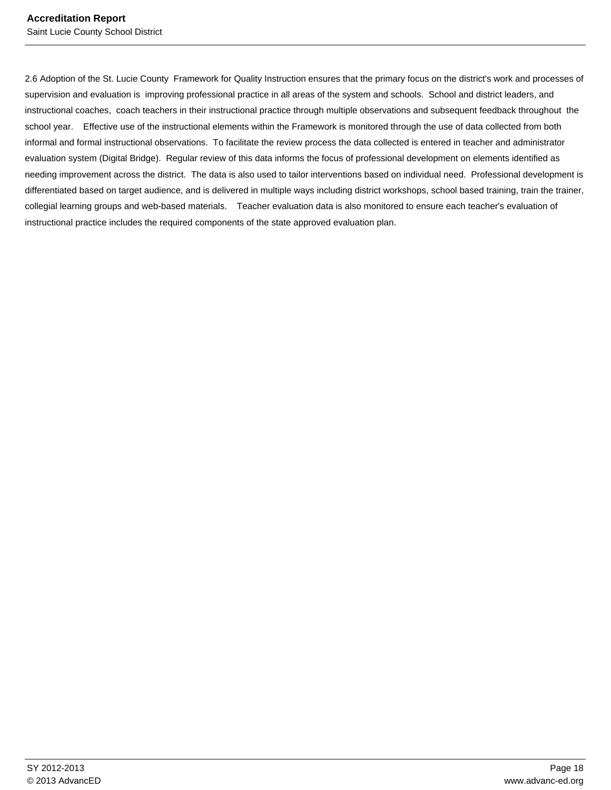2.6 Adoption of the St. Lucie County Framework for Quality Instruction ensures that the primary focus on the district's work and processes of supervision and evaluation is improving professional practice in all areas of the system and schools. School and district leaders, and instructional coaches, coach teachers in their instructional practice through multiple observations and subsequent feedback throughout the school year. Effective use of the instructional elements within the Framework is monitored through the use of data collected from both informal and formal instructional observations. To facilitate the review process the data collected is entered in teacher and administrator evaluation system (Digital Bridge). Regular review of this data informs the focus of professional development on elements identified as needing improvement across the district. The data is also used to tailor interventions based on individual need. Professional development is differentiated based on target audience, and is delivered in multiple ways including district workshops, school based training, train the trainer, collegial learning groups and web-based materials. Teacher evaluation data is also monitored to ensure each teacher's evaluation of instructional practice includes the required components of the state approved evaluation plan.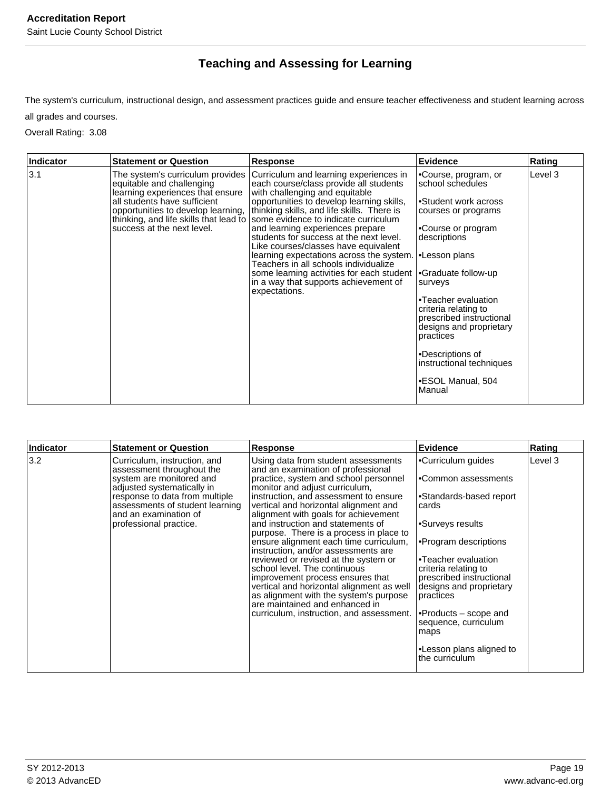# **Teaching and Assessing for Learning**

The system's curriculum, instructional design, and assessment practices guide and ensure teacher effectiveness and student learning across

all grades and courses.

Overall Rating: 3.08

| Indicator | <b>Statement or Question</b>                                                                                                                                    | <b>Response</b>                                                                                                                                                                                                                                                                                                                                                                                                                                                                                                                                                                                                                                    | Evidence                                                                                                                                                                                                                                                                                                                                                                           | Rating  |
|-----------|-----------------------------------------------------------------------------------------------------------------------------------------------------------------|----------------------------------------------------------------------------------------------------------------------------------------------------------------------------------------------------------------------------------------------------------------------------------------------------------------------------------------------------------------------------------------------------------------------------------------------------------------------------------------------------------------------------------------------------------------------------------------------------------------------------------------------------|------------------------------------------------------------------------------------------------------------------------------------------------------------------------------------------------------------------------------------------------------------------------------------------------------------------------------------------------------------------------------------|---------|
| 3.1       | The system's curriculum provides<br>equitable and challenging<br>learning experiences that ensure<br>all students have sufficient<br>success at the next level. | Curriculum and learning experiences in<br>each course/class provide all students<br>with challenging and equitable<br>opportunities to develop learning skills,<br>opportunities to develop learning, thinking skills, and life skills. There is<br>thinking, and life skills that lead to some evidence to indicate curriculum<br>and learning experiences prepare<br>students for success at the next level.<br>Like courses/classes have equivalent<br>learning expectations across the system.<br>Teachers in all schools individualize<br>some learning activities for each student<br>in a way that supports achievement of<br>expectations. | •Course, program, or<br>school schedules<br>•Student work across<br>courses or programs<br>•Course or program<br>descriptions<br>•Lesson plans<br>Graduate follow-up-<br>surveys<br>•Teacher evaluation<br>criteria relating to<br>prescribed instructional<br>designs and proprietary<br>practices<br>•Descriptions of<br>instructional techniques<br>•ESOL Manual, 504<br>Manual | Level 3 |

| 3.2<br>•Curriculum quides<br>Using data from student assessments<br>Curriculum, instruction, and<br>and an examination of professional<br>assessment throughout the<br>system are monitored and<br>practice, system and school personnel<br>•Common assessments<br>adjusted systematically in<br>monitor and adjust curriculum,<br>response to data from multiple<br>instruction, and assessment to ensure<br>•Standards-based report<br>assessments of student learning<br>vertical and horizontal alignment and<br>cards                                                                                                                                                                                                                                                                                                 | Rating  |
|----------------------------------------------------------------------------------------------------------------------------------------------------------------------------------------------------------------------------------------------------------------------------------------------------------------------------------------------------------------------------------------------------------------------------------------------------------------------------------------------------------------------------------------------------------------------------------------------------------------------------------------------------------------------------------------------------------------------------------------------------------------------------------------------------------------------------|---------|
| alignment with goals for achievement<br>and an examination of<br>and instruction and statements of<br>•Surveys results<br>professional practice.<br>purpose. There is a process in place to<br>•Program descriptions<br>ensure alignment each time curriculum,<br>instruction, and/or assessments are<br>reviewed or revised at the system or<br>l∙Teacher evaluation<br>school level. The continuous<br>criteria relating to<br>prescribed instructional<br>improvement process ensures that<br>vertical and horizontal alignment as well<br>designs and proprietary<br>as alignment with the system's purpose<br>practices<br>are maintained and enhanced in<br>curriculum, instruction, and assessment.<br>$\bullet$ Products – scope and<br>sequence, curriculum<br>maps<br>•Lesson plans aligned to<br>the curriculum | Level 3 |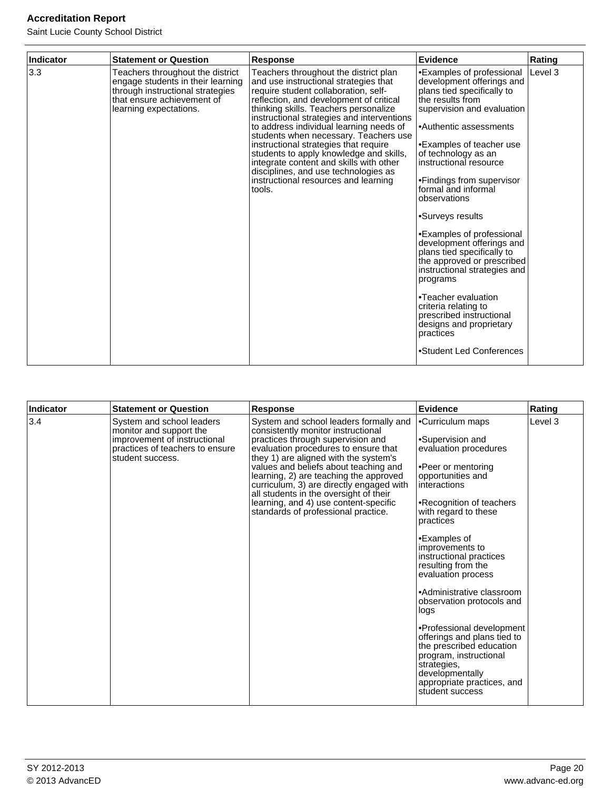| <b>Indicator</b> | <b>Statement or Question</b>                                                                                                                                      | <b>Response</b>                                                                                                                                                                                                                                                                                                                                                                                                                                                                                                                                                       | <b>Evidence</b>                                                                                                                                                                                                                                                                                                                                                                                                                                                                                                                                                                                                                                        | <b>Rating</b> |
|------------------|-------------------------------------------------------------------------------------------------------------------------------------------------------------------|-----------------------------------------------------------------------------------------------------------------------------------------------------------------------------------------------------------------------------------------------------------------------------------------------------------------------------------------------------------------------------------------------------------------------------------------------------------------------------------------------------------------------------------------------------------------------|--------------------------------------------------------------------------------------------------------------------------------------------------------------------------------------------------------------------------------------------------------------------------------------------------------------------------------------------------------------------------------------------------------------------------------------------------------------------------------------------------------------------------------------------------------------------------------------------------------------------------------------------------------|---------------|
| 3.3              | Teachers throughout the district<br>engage students in their learning<br>through instructional strategies<br>that ensure achievement of<br>learning expectations. | Teachers throughout the district plan<br>and use instructional strategies that<br>require student collaboration, self-<br>reflection, and development of critical<br>thinking skills. Teachers personalize<br>instructional strategies and interventions<br>to address individual learning needs of<br>students when necessary. Teachers use<br>instructional strategies that require<br>students to apply knowledge and skills,<br>integrate content and skills with other<br>disciplines, and use technologies as<br>instructional resources and learning<br>tools. | •Examples of professional<br>development offerings and<br>plans tied specifically to<br>the results from<br>supervision and evaluation<br>•Authentic assessments<br>•Examples of teacher use<br>of technology as an<br>instructional resource<br>•Findings from supervisor<br>formal and informal<br>observations<br>•Surveys results<br>•Examples of professional<br>development offerings and<br>plans tied specifically to<br>the approved or prescribed<br>instructional strategies and<br>programs<br>•Teacher evaluation<br>criteria relating to<br>prescribed instructional<br>designs and proprietary<br>practices<br>•Student Led Conferences | Level 3       |

| Indicator | <b>Statement or Question</b>                                                                                                                | <b>Response</b>                                                                                                                                                                                                                                                                                                                                                                                                                                             | Evidence                                                                                                                                                                                                                                                                                                                                                                                                                                                                                                                                                                   | Rating  |
|-----------|---------------------------------------------------------------------------------------------------------------------------------------------|-------------------------------------------------------------------------------------------------------------------------------------------------------------------------------------------------------------------------------------------------------------------------------------------------------------------------------------------------------------------------------------------------------------------------------------------------------------|----------------------------------------------------------------------------------------------------------------------------------------------------------------------------------------------------------------------------------------------------------------------------------------------------------------------------------------------------------------------------------------------------------------------------------------------------------------------------------------------------------------------------------------------------------------------------|---------|
| 3.4       | System and school leaders<br>monitor and support the<br>improvement of instructional<br>practices of teachers to ensure<br>student success. | System and school leaders formally and<br>consistently monitor instructional<br>practices through supervision and<br>evaluation procedures to ensure that<br>they 1) are aligned with the system's<br>values and beliefs about teaching and<br>learning, 2) are teaching the approved<br>curriculum, 3) are directly engaged with<br>all students in the oversight of their<br>learning, and 4) use content-specific<br>standards of professional practice. | •Curriculum maps<br>•Supervision and<br>evaluation procedures<br>•Peer or mentoring<br>opportunities and<br>interactions<br>•Recognition of teachers<br>with regard to these<br>practices<br>•Examples of<br>improvements to<br>instructional practices<br>resulting from the<br>evaluation process<br>•Administrative classroom<br>observation protocols and<br>logs<br>•Professional development<br>offerings and plans tied to<br>the prescribed education<br>program, instructional<br>strategies,<br>developmentally<br>appropriate practices, and<br>student success | Level 3 |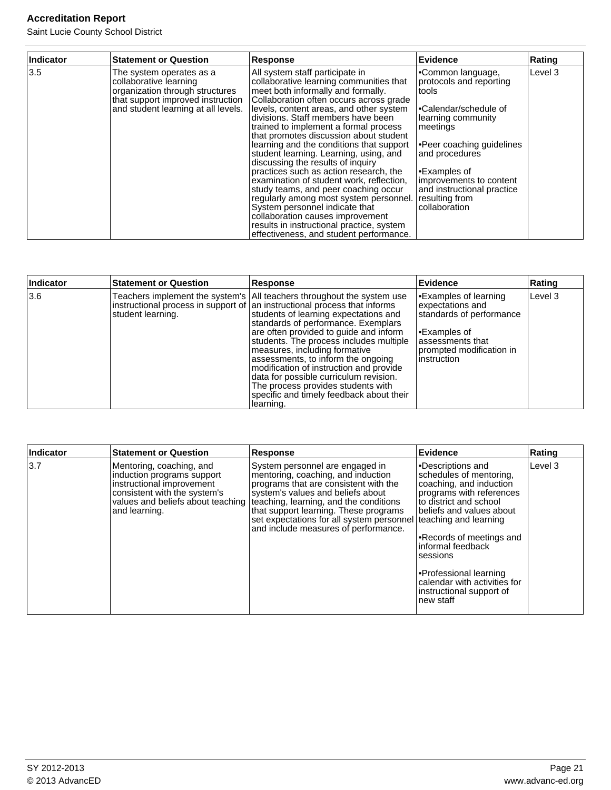| Indicator | <b>Statement or Question</b>                                                                                                                                      | <b>Response</b>                                                                                                                                                                                                                                                                                                                                                                                                                                                                                                                                                                                                                                                                                                                                                                                  | Evidence                                                                                                                                                                                                                                                                         | Rating  |
|-----------|-------------------------------------------------------------------------------------------------------------------------------------------------------------------|--------------------------------------------------------------------------------------------------------------------------------------------------------------------------------------------------------------------------------------------------------------------------------------------------------------------------------------------------------------------------------------------------------------------------------------------------------------------------------------------------------------------------------------------------------------------------------------------------------------------------------------------------------------------------------------------------------------------------------------------------------------------------------------------------|----------------------------------------------------------------------------------------------------------------------------------------------------------------------------------------------------------------------------------------------------------------------------------|---------|
| 3.5       | The system operates as a<br>collaborative learning<br>organization through structures<br>that support improved instruction<br>and student learning at all levels. | All system staff participate in<br>collaborative learning communities that<br>meet both informally and formally.<br>Collaboration often occurs across grade<br>levels, content areas, and other system<br>divisions. Staff members have been<br>trained to implement a formal process<br>that promotes discussion about student<br>learning and the conditions that support<br>student learning. Learning, using, and<br>discussing the results of inquiry<br>practices such as action research, the<br>examination of student work, reflection,<br>study teams, and peer coaching occur<br>regularly among most system personnel.<br>System personnel indicate that<br>collaboration causes improvement<br>results in instructional practice, system<br>effectiveness, and student performance. | •Common language,<br>protocols and reporting<br>Itools<br>l∙Calendar/schedule of<br>learning community<br> meetings <br>Peer coaching guidelines<<br>and procedures<br>l•Examples of<br>improvements to content<br>and instructional practice<br>resulting from<br>collaboration | Level 3 |

| Indicator | <b>Statement or Question</b> | <b>Response</b>                                                                                                                                                                                                                                                                                                                                                                                                                                                                                                                                                                                       | Evidence                                                                                                                                                    | Rating  |
|-----------|------------------------------|-------------------------------------------------------------------------------------------------------------------------------------------------------------------------------------------------------------------------------------------------------------------------------------------------------------------------------------------------------------------------------------------------------------------------------------------------------------------------------------------------------------------------------------------------------------------------------------------------------|-------------------------------------------------------------------------------------------------------------------------------------------------------------|---------|
| 3.6       | student learning.            | Teachers implement the system's   All teachers throughout the system use<br>$\vert$ instructional process in support of $\vert$ an instructional process that informs<br>students of learning expectations and<br>standards of performance. Exemplars<br>are often provided to guide and inform<br>students. The process includes multiple<br>measures, including formative<br>assessments, to inform the ongoing<br>modification of instruction and provide<br>data for possible curriculum revision.<br>The process provides students with<br>specific and timely feedback about their<br>Iearning. | Examples of learning<br>expectations and<br>standards of performance<br><b>Examples of</b><br>lassessments that<br>prompted modification in<br>linstruction | Level 3 |

| Indicator | <b>Statement or Question</b>                                                                                                         | Response                                                                                                                                                                                                                                                                                                                                                                              | Evidence                                                                                                                                                                                                                                                                                                                  | Rating  |
|-----------|--------------------------------------------------------------------------------------------------------------------------------------|---------------------------------------------------------------------------------------------------------------------------------------------------------------------------------------------------------------------------------------------------------------------------------------------------------------------------------------------------------------------------------------|---------------------------------------------------------------------------------------------------------------------------------------------------------------------------------------------------------------------------------------------------------------------------------------------------------------------------|---------|
| 3.7       | Mentoring, coaching, and<br>induction programs support<br>instructional improvement<br>consistent with the system's<br>and learning. | System personnel are engaged in<br>mentoring, coaching, and induction<br>programs that are consistent with the<br>system's values and beliefs about<br>values and beliefs about teaching   teaching, learning, and the conditions<br>that support learning. These programs<br>set expectations for all system personnel teaching and learning<br>and include measures of performance. | •Descriptions and<br>schedules of mentoring.<br>coaching, and induction<br>programs with references<br>to district and school<br>beliefs and values about<br>•Records of meetings and<br>informal feedback<br>sessions<br>•Professional learning<br>calendar with activities for<br>instructional support of<br>new staff | Level 3 |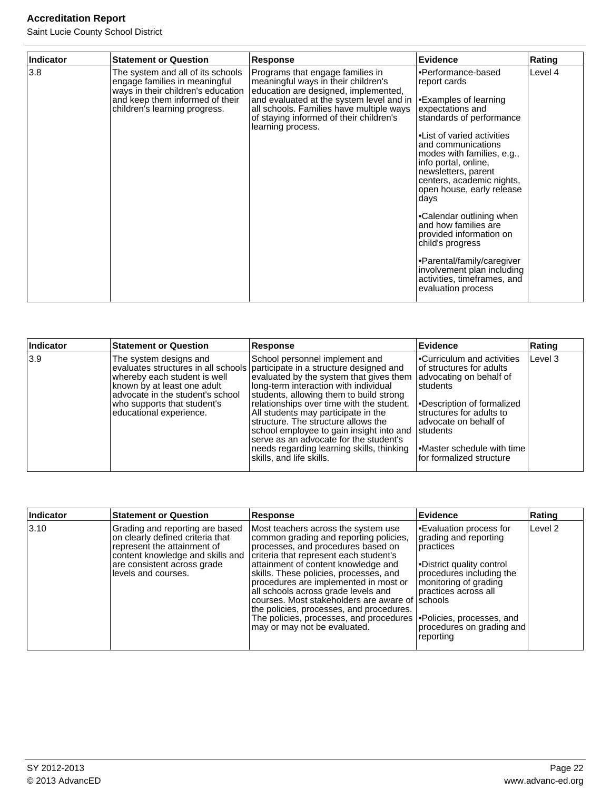| <b>Indicator</b> | <b>Statement or Question</b>                                                                                                                                                 | Response                                                                                                                                                                                                                                                                | <b>Evidence</b>                                                                                                                                                                                                                                                                                                                                                                                                                                                                                                                              | Rating  |
|------------------|------------------------------------------------------------------------------------------------------------------------------------------------------------------------------|-------------------------------------------------------------------------------------------------------------------------------------------------------------------------------------------------------------------------------------------------------------------------|----------------------------------------------------------------------------------------------------------------------------------------------------------------------------------------------------------------------------------------------------------------------------------------------------------------------------------------------------------------------------------------------------------------------------------------------------------------------------------------------------------------------------------------------|---------|
| 3.8              | The system and all of its schools<br>engage families in meaningful<br>ways in their children's education<br>and keep them informed of their<br>children's learning progress. | Programs that engage families in<br>meaningful ways in their children's<br>education are designed, implemented,<br>and evaluated at the system level and in<br>all schools. Families have multiple ways<br>of staying informed of their children's<br>learning process. | l•Performance-based<br>report cards<br><b>Examples of learning</b><br>expectations and<br>standards of performance<br>l•List of varied activities<br>land communications<br>modes with families, e.g.,<br>info portal, online,<br>newsletters, parent<br>centers, academic nights,<br>open house, early release<br>∣davs<br>•Calendar outlining when<br>land how families are<br>provided information on<br>child's progress<br>Parental/family/caregiver<br>involvement plan including<br>activities, timeframes, and<br>evaluation process | Level 4 |

| Indicator     | <b>Statement or Question</b>                                                                                                                                                        | Response                                                                                                                                                                                                                                                                                                                                                                                                                                                                                                                                                                         | <b>Evidence</b>                                                                                                                                                                                                                 | Rating  |
|---------------|-------------------------------------------------------------------------------------------------------------------------------------------------------------------------------------|----------------------------------------------------------------------------------------------------------------------------------------------------------------------------------------------------------------------------------------------------------------------------------------------------------------------------------------------------------------------------------------------------------------------------------------------------------------------------------------------------------------------------------------------------------------------------------|---------------------------------------------------------------------------------------------------------------------------------------------------------------------------------------------------------------------------------|---------|
| $ 3.9\rangle$ | The system designs and<br>whereby each student is well<br>known by at least one adult<br>advocate in the student's school<br>who supports that student's<br>educational experience. | School personnel implement and<br>evaluates structures in all schools participate in a structure designed and<br>evaluated by the system that gives them $\vert$ advocating on behalf of<br>long-term interaction with individual<br>students, allowing them to build strong<br>relationships over time with the student.<br>All students may participate in the<br>Istructure. The structure allows the<br>school employee to gain insight into and Students<br>serve as an advocate for the student's<br>needs regarding learning skills, thinking<br>skills, and life skills. | <b>Curriculum and activities</b><br>lof structures for adults<br>Istudents<br><b>-Description of formalized</b><br>structures for adults to<br>ladvocate on behalf of<br>Master schedule with time<br>lfor formalized structure | Level 3 |

| Indicator | <b>Statement or Question</b>                                                                                                                                                                 | <b>Response</b>                                                                                                                                                                                                                                                                                                                                                                                                                                                                                                                     | Evidence                                                                                                                                                                                                          | Rating  |
|-----------|----------------------------------------------------------------------------------------------------------------------------------------------------------------------------------------------|-------------------------------------------------------------------------------------------------------------------------------------------------------------------------------------------------------------------------------------------------------------------------------------------------------------------------------------------------------------------------------------------------------------------------------------------------------------------------------------------------------------------------------------|-------------------------------------------------------------------------------------------------------------------------------------------------------------------------------------------------------------------|---------|
| 3.10      | Grading and reporting are based<br>on clearly defined criteria that<br>represent the attainment of<br>content knowledge and skills and<br>are consistent across grade<br>levels and courses. | Most teachers across the system use<br>common grading and reporting policies,<br>processes, and procedures based on<br>criteria that represent each student's<br>attainment of content knowledge and<br>skills. These policies, processes, and<br>procedures are implemented in most or<br>all schools across grade levels and<br>courses. Most stakeholders are aware of schools<br>the policies, processes, and procedures.<br>The policies, processes, and procedures   Policies, processes, and<br>may or may not be evaluated. | Evaluation process for<br>grading and reporting<br>Ipractices<br>•District quality control<br>procedures including the<br>monitoring of grading<br>practices across all<br>procedures on grading and<br>reporting | Level 2 |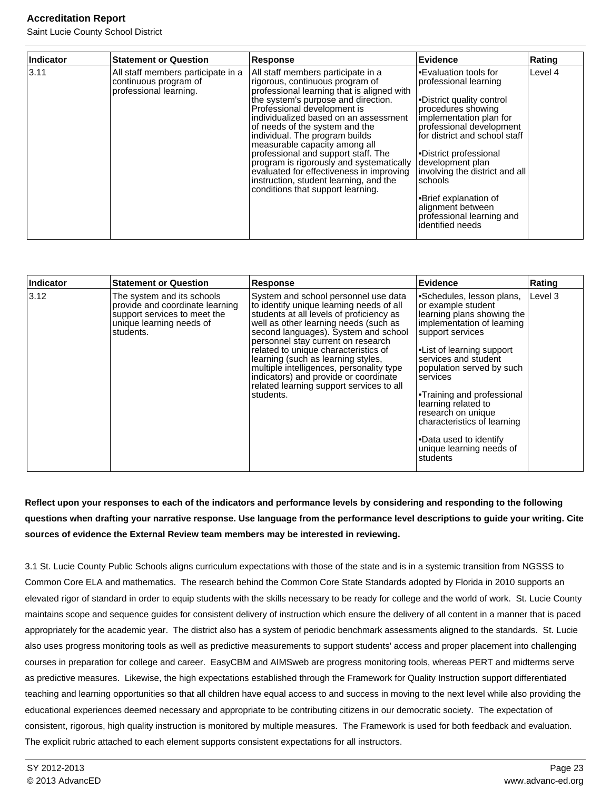Saint Lucie County School District

| Indicator | <b>Statement or Question</b>                                                          | Response                                                                                                                                                                                                                                                                                                                                                                                                                                                                                                                                              | Evidence                                                                                                                                                                                                                                                                                                                                                                            | Rating  |
|-----------|---------------------------------------------------------------------------------------|-------------------------------------------------------------------------------------------------------------------------------------------------------------------------------------------------------------------------------------------------------------------------------------------------------------------------------------------------------------------------------------------------------------------------------------------------------------------------------------------------------------------------------------------------------|-------------------------------------------------------------------------------------------------------------------------------------------------------------------------------------------------------------------------------------------------------------------------------------------------------------------------------------------------------------------------------------|---------|
| 3.11      | All staff members participate in a<br>continuous program of<br>professional learning. | All staff members participate in a<br>rigorous, continuous program of<br>professional learning that is aligned with<br>the system's purpose and direction.<br>Professional development is<br>individualized based on an assessment<br>of needs of the system and the<br>individual. The program builds<br>measurable capacity among all<br>professional and support staff. The<br>program is rigorously and systematically<br>evaluated for effectiveness in improving<br>instruction, student learning, and the<br>conditions that support learning. | •Evaluation tools for<br>professional learning<br>•District quality control<br>procedures showing<br>implementation plan for<br>professional development<br>for district and school staff<br>•District professional<br>development plan<br>involving the district and all<br>schools<br>•Brief explanation of<br>alignment between<br>professional learning and<br>identified needs | Level 4 |

| Indicator | <b>Statement or Question</b>                                                                                                           | <b>Response</b>                                                                                                                                                                                                                                                                                                                                                                                                                                                                 | <b>Evidence</b>                                                                                                                                                                                                                                                                                                                                                                                            | Rating  |
|-----------|----------------------------------------------------------------------------------------------------------------------------------------|---------------------------------------------------------------------------------------------------------------------------------------------------------------------------------------------------------------------------------------------------------------------------------------------------------------------------------------------------------------------------------------------------------------------------------------------------------------------------------|------------------------------------------------------------------------------------------------------------------------------------------------------------------------------------------------------------------------------------------------------------------------------------------------------------------------------------------------------------------------------------------------------------|---------|
| 3.12      | The system and its schools<br>provide and coordinate learning<br>support services to meet the<br>unique learning needs of<br>students. | System and school personnel use data<br>to identify unique learning needs of all<br>students at all levels of proficiency as<br>well as other learning needs (such as<br>second languages). System and school<br>personnel stay current on research<br>related to unique characteristics of<br>learning (such as learning styles,<br>multiple intelligences, personality type<br>indicators) and provide or coordinate<br>related learning support services to all<br>students. | •Schedules, lesson plans,<br>or example student<br>learning plans showing the<br>implementation of learning<br>support services<br>• List of learning support<br>services and student<br>population served by such<br>services<br>•Training and professional<br>learning related to<br>research on unique<br>characteristics of learning<br>•Data used to identify<br>unique learning needs of<br>students | Level 3 |

# **Reflect upon your responses to each of the indicators and performance levels by considering and responding to the following questions when drafting your narrative response. Use language from the performance level descriptions to guide your writing. Cite sources of evidence the External Review team members may be interested in reviewing.**

3.1 St. Lucie County Public Schools aligns curriculum expectations with those of the state and is in a systemic transition from NGSSS to Common Core ELA and mathematics. The research behind the Common Core State Standards adopted by Florida in 2010 supports an elevated rigor of standard in order to equip students with the skills necessary to be ready for college and the world of work. St. Lucie County maintains scope and sequence guides for consistent delivery of instruction which ensure the delivery of all content in a manner that is paced appropriately for the academic year. The district also has a system of periodic benchmark assessments aligned to the standards. St. Lucie also uses progress monitoring tools as well as predictive measurements to support students' access and proper placement into challenging courses in preparation for college and career. EasyCBM and AIMSweb are progress monitoring tools, whereas PERT and midterms serve as predictive measures. Likewise, the high expectations established through the Framework for Quality Instruction support differentiated teaching and learning opportunities so that all children have equal access to and success in moving to the next level while also providing the educational experiences deemed necessary and appropriate to be contributing citizens in our democratic society. The expectation of consistent, rigorous, high quality instruction is monitored by multiple measures. The Framework is used for both feedback and evaluation. The explicit rubric attached to each element supports consistent expectations for all instructors.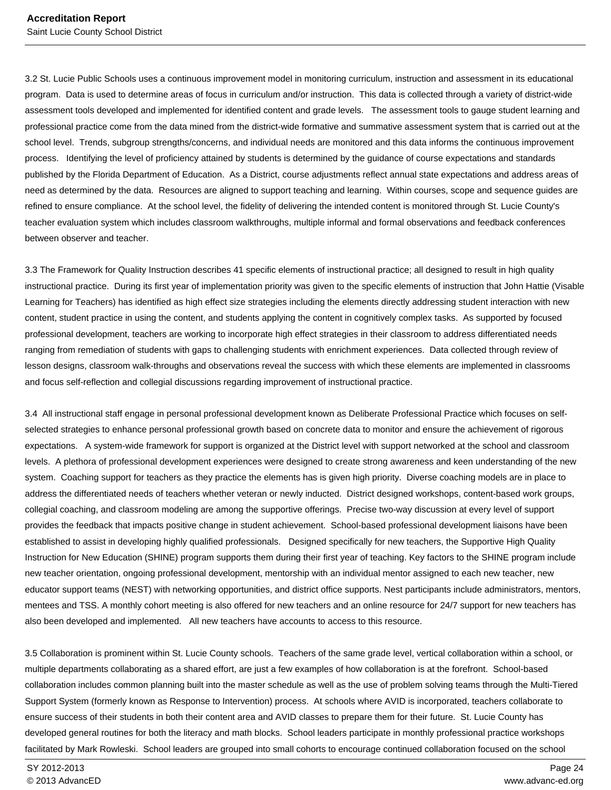3.2 St. Lucie Public Schools uses a continuous improvement model in monitoring curriculum, instruction and assessment in its educational program. Data is used to determine areas of focus in curriculum and/or instruction. This data is collected through a variety of district-wide assessment tools developed and implemented for identified content and grade levels. The assessment tools to gauge student learning and professional practice come from the data mined from the district-wide formative and summative assessment system that is carried out at the school level. Trends, subgroup strengths/concerns, and individual needs are monitored and this data informs the continuous improvement process. Identifying the level of proficiency attained by students is determined by the guidance of course expectations and standards published by the Florida Department of Education. As a District, course adjustments reflect annual state expectations and address areas of need as determined by the data. Resources are aligned to support teaching and learning. Within courses, scope and sequence guides are refined to ensure compliance. At the school level, the fidelity of delivering the intended content is monitored through St. Lucie County's teacher evaluation system which includes classroom walkthroughs, multiple informal and formal observations and feedback conferences between observer and teacher.

3.3 The Framework for Quality Instruction describes 41 specific elements of instructional practice; all designed to result in high quality instructional practice. During its first year of implementation priority was given to the specific elements of instruction that John Hattie (Visable Learning for Teachers) has identified as high effect size strategies including the elements directly addressing student interaction with new content, student practice in using the content, and students applying the content in cognitively complex tasks. As supported by focused professional development, teachers are working to incorporate high effect strategies in their classroom to address differentiated needs ranging from remediation of students with gaps to challenging students with enrichment experiences. Data collected through review of lesson designs, classroom walk-throughs and observations reveal the success with which these elements are implemented in classrooms and focus self-reflection and collegial discussions regarding improvement of instructional practice.

3.4 All instructional staff engage in personal professional development known as Deliberate Professional Practice which focuses on selfselected strategies to enhance personal professional growth based on concrete data to monitor and ensure the achievement of rigorous expectations. A system-wide framework for support is organized at the District level with support networked at the school and classroom levels. A plethora of professional development experiences were designed to create strong awareness and keen understanding of the new system. Coaching support for teachers as they practice the elements has is given high priority. Diverse coaching models are in place to address the differentiated needs of teachers whether veteran or newly inducted. District designed workshops, content-based work groups, collegial coaching, and classroom modeling are among the supportive offerings. Precise two-way discussion at every level of support provides the feedback that impacts positive change in student achievement. School-based professional development liaisons have been established to assist in developing highly qualified professionals. Designed specifically for new teachers, the Supportive High Quality Instruction for New Education (SHINE) program supports them during their first year of teaching. Key factors to the SHINE program include new teacher orientation, ongoing professional development, mentorship with an individual mentor assigned to each new teacher, new educator support teams (NEST) with networking opportunities, and district office supports. Nest participants include administrators, mentors, mentees and TSS. A monthly cohort meeting is also offered for new teachers and an online resource for 24/7 support for new teachers has also been developed and implemented. All new teachers have accounts to access to this resource.

3.5 Collaboration is prominent within St. Lucie County schools. Teachers of the same grade level, vertical collaboration within a school, or multiple departments collaborating as a shared effort, are just a few examples of how collaboration is at the forefront. School-based collaboration includes common planning built into the master schedule as well as the use of problem solving teams through the Multi-Tiered Support System (formerly known as Response to Intervention) process. At schools where AVID is incorporated, teachers collaborate to ensure success of their students in both their content area and AVID classes to prepare them for their future. St. Lucie County has developed general routines for both the literacy and math blocks. School leaders participate in monthly professional practice workshops facilitated by Mark Rowleski. School leaders are grouped into small cohorts to encourage continued collaboration focused on the school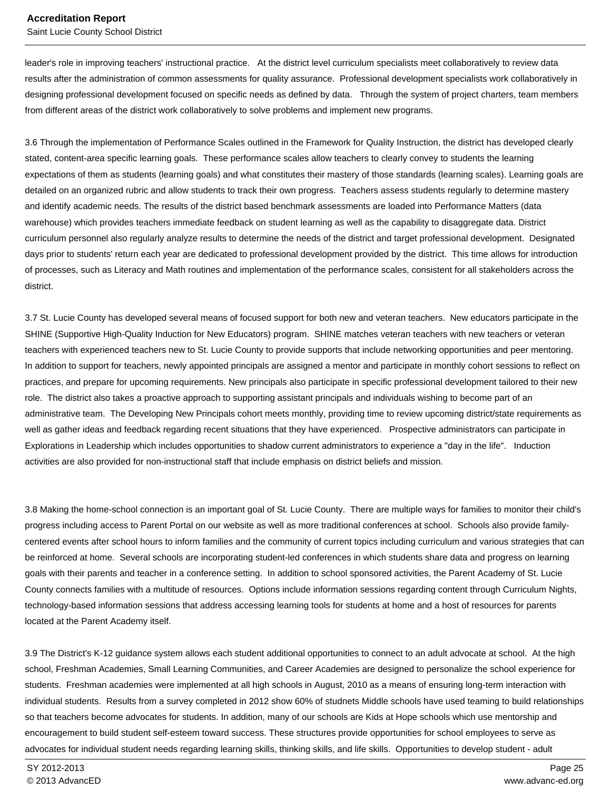Saint Lucie County School District

leader's role in improving teachers' instructional practice. At the district level curriculum specialists meet collaboratively to review data results after the administration of common assessments for quality assurance. Professional development specialists work collaboratively in designing professional development focused on specific needs as defined by data. Through the system of project charters, team members from different areas of the district work collaboratively to solve problems and implement new programs.

3.6 Through the implementation of Performance Scales outlined in the Framework for Quality Instruction, the district has developed clearly stated, content-area specific learning goals. These performance scales allow teachers to clearly convey to students the learning expectations of them as students (learning goals) and what constitutes their mastery of those standards (learning scales). Learning goals are detailed on an organized rubric and allow students to track their own progress. Teachers assess students regularly to determine mastery and identify academic needs. The results of the district based benchmark assessments are loaded into Performance Matters (data warehouse) which provides teachers immediate feedback on student learning as well as the capability to disaggregate data. District curriculum personnel also regularly analyze results to determine the needs of the district and target professional development. Designated days prior to students' return each year are dedicated to professional development provided by the district. This time allows for introduction of processes, such as Literacy and Math routines and implementation of the performance scales, consistent for all stakeholders across the district.

3.7 St. Lucie County has developed several means of focused support for both new and veteran teachers. New educators participate in the SHINE (Supportive High-Quality Induction for New Educators) program. SHINE matches veteran teachers with new teachers or veteran teachers with experienced teachers new to St. Lucie County to provide supports that include networking opportunities and peer mentoring. In addition to support for teachers, newly appointed principals are assigned a mentor and participate in monthly cohort sessions to reflect on practices, and prepare for upcoming requirements. New principals also participate in specific professional development tailored to their new role. The district also takes a proactive approach to supporting assistant principals and individuals wishing to become part of an administrative team. The Developing New Principals cohort meets monthly, providing time to review upcoming district/state requirements as well as gather ideas and feedback regarding recent situations that they have experienced. Prospective administrators can participate in Explorations in Leadership which includes opportunities to shadow current administrators to experience a "day in the life". Induction activities are also provided for non-instructional staff that include emphasis on district beliefs and mission.

3.8 Making the home-school connection is an important goal of St. Lucie County. There are multiple ways for families to monitor their child's progress including access to Parent Portal on our website as well as more traditional conferences at school. Schools also provide familycentered events after school hours to inform families and the community of current topics including curriculum and various strategies that can be reinforced at home. Several schools are incorporating student-led conferences in which students share data and progress on learning goals with their parents and teacher in a conference setting. In addition to school sponsored activities, the Parent Academy of St. Lucie County connects families with a multitude of resources. Options include information sessions regarding content through Curriculum Nights, technology-based information sessions that address accessing learning tools for students at home and a host of resources for parents located at the Parent Academy itself.

3.9 The District's K-12 guidance system allows each student additional opportunities to connect to an adult advocate at school. At the high school, Freshman Academies, Small Learning Communities, and Career Academies are designed to personalize the school experience for students. Freshman academies were implemented at all high schools in August, 2010 as a means of ensuring long-term interaction with individual students. Results from a survey completed in 2012 show 60% of studnets Middle schools have used teaming to build relationships so that teachers become advocates for students. In addition, many of our schools are Kids at Hope schools which use mentorship and encouragement to build student self-esteem toward success. These structures provide opportunities for school employees to serve as advocates for individual student needs regarding learning skills, thinking skills, and life skills. Opportunities to develop student - adult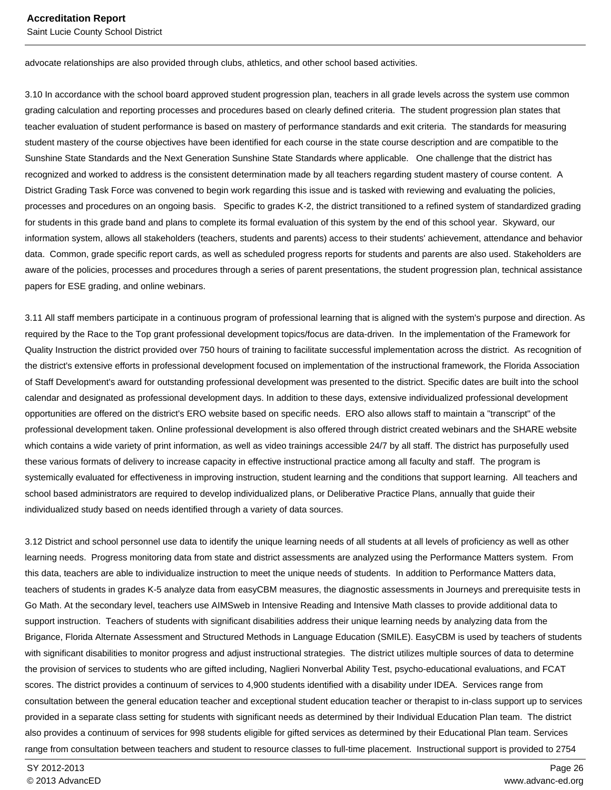advocate relationships are also provided through clubs, athletics, and other school based activities.

3.10 In accordance with the school board approved student progression plan, teachers in all grade levels across the system use common grading calculation and reporting processes and procedures based on clearly defined criteria. The student progression plan states that teacher evaluation of student performance is based on mastery of performance standards and exit criteria. The standards for measuring student mastery of the course objectives have been identified for each course in the state course description and are compatible to the Sunshine State Standards and the Next Generation Sunshine State Standards where applicable. One challenge that the district has recognized and worked to address is the consistent determination made by all teachers regarding student mastery of course content. A District Grading Task Force was convened to begin work regarding this issue and is tasked with reviewing and evaluating the policies, processes and procedures on an ongoing basis. Specific to grades K-2, the district transitioned to a refined system of standardized grading for students in this grade band and plans to complete its formal evaluation of this system by the end of this school year. Skyward, our information system, allows all stakeholders (teachers, students and parents) access to their students' achievement, attendance and behavior data. Common, grade specific report cards, as well as scheduled progress reports for students and parents are also used. Stakeholders are aware of the policies, processes and procedures through a series of parent presentations, the student progression plan, technical assistance papers for ESE grading, and online webinars.

3.11 All staff members participate in a continuous program of professional learning that is aligned with the system's purpose and direction. As required by the Race to the Top grant professional development topics/focus are data-driven. In the implementation of the Framework for Quality Instruction the district provided over 750 hours of training to facilitate successful implementation across the district. As recognition of the district's extensive efforts in professional development focused on implementation of the instructional framework, the Florida Association of Staff Development's award for outstanding professional development was presented to the district. Specific dates are built into the school calendar and designated as professional development days. In addition to these days, extensive individualized professional development opportunities are offered on the district's ERO website based on specific needs. ERO also allows staff to maintain a "transcript" of the professional development taken. Online professional development is also offered through district created webinars and the SHARE website which contains a wide variety of print information, as well as video trainings accessible 24/7 by all staff. The district has purposefully used these various formats of delivery to increase capacity in effective instructional practice among all faculty and staff. The program is systemically evaluated for effectiveness in improving instruction, student learning and the conditions that support learning. All teachers and school based administrators are required to develop individualized plans, or Deliberative Practice Plans, annually that guide their individualized study based on needs identified through a variety of data sources.

3.12 District and school personnel use data to identify the unique learning needs of all students at all levels of proficiency as well as other learning needs. Progress monitoring data from state and district assessments are analyzed using the Performance Matters system. From this data, teachers are able to individualize instruction to meet the unique needs of students. In addition to Performance Matters data, teachers of students in grades K-5 analyze data from easyCBM measures, the diagnostic assessments in Journeys and prerequisite tests in Go Math. At the secondary level, teachers use AIMSweb in Intensive Reading and Intensive Math classes to provide additional data to support instruction. Teachers of students with significant disabilities address their unique learning needs by analyzing data from the Brigance, Florida Alternate Assessment and Structured Methods in Language Education (SMILE). EasyCBM is used by teachers of students with significant disabilities to monitor progress and adjust instructional strategies. The district utilizes multiple sources of data to determine the provision of services to students who are gifted including, Naglieri Nonverbal Ability Test, psycho-educational evaluations, and FCAT scores. The district provides a continuum of services to 4,900 students identified with a disability under IDEA. Services range from consultation between the general education teacher and exceptional student education teacher or therapist to in-class support up to services provided in a separate class setting for students with significant needs as determined by their Individual Education Plan team. The district also provides a continuum of services for 998 students eligible for gifted services as determined by their Educational Plan team. Services range from consultation between teachers and student to resource classes to full-time placement. Instructional support is provided to 2754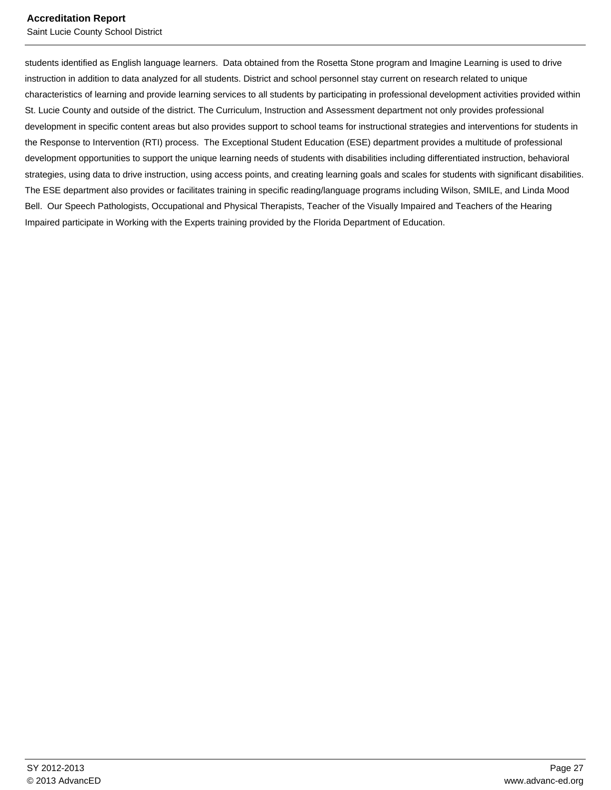Saint Lucie County School District

students identified as English language learners. Data obtained from the Rosetta Stone program and Imagine Learning is used to drive instruction in addition to data analyzed for all students. District and school personnel stay current on research related to unique characteristics of learning and provide learning services to all students by participating in professional development activities provided within St. Lucie County and outside of the district. The Curriculum, Instruction and Assessment department not only provides professional development in specific content areas but also provides support to school teams for instructional strategies and interventions for students in the Response to Intervention (RTI) process. The Exceptional Student Education (ESE) department provides a multitude of professional development opportunities to support the unique learning needs of students with disabilities including differentiated instruction, behavioral strategies, using data to drive instruction, using access points, and creating learning goals and scales for students with significant disabilities. The ESE department also provides or facilitates training in specific reading/language programs including Wilson, SMILE, and Linda Mood Bell. Our Speech Pathologists, Occupational and Physical Therapists, Teacher of the Visually Impaired and Teachers of the Hearing Impaired participate in Working with the Experts training provided by the Florida Department of Education.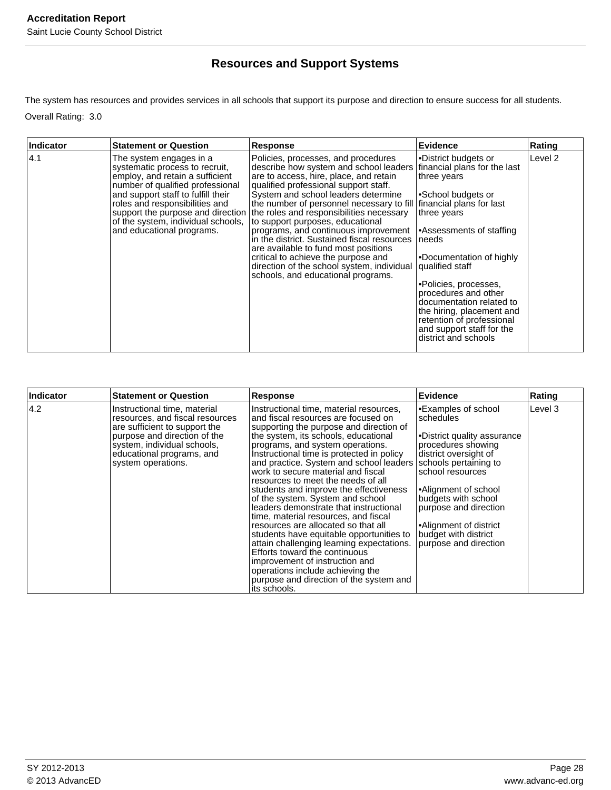# **Resources and Support Systems**

The system has resources and provides services in all schools that support its purpose and direction to ensure success for all students. Overall Rating: 3.0

| <b>Indicator</b> | <b>Statement or Question</b>                                                                                                                                                                                                                                                | Response                                                                                                                                                                                                                                                                                                                                                                                                                                                                                                                                                                                                                                                    | <b>Evidence</b>                                                                                                                                                                                                                                                                                                                                                                           | Rating  |
|------------------|-----------------------------------------------------------------------------------------------------------------------------------------------------------------------------------------------------------------------------------------------------------------------------|-------------------------------------------------------------------------------------------------------------------------------------------------------------------------------------------------------------------------------------------------------------------------------------------------------------------------------------------------------------------------------------------------------------------------------------------------------------------------------------------------------------------------------------------------------------------------------------------------------------------------------------------------------------|-------------------------------------------------------------------------------------------------------------------------------------------------------------------------------------------------------------------------------------------------------------------------------------------------------------------------------------------------------------------------------------------|---------|
| 4.1              | The system engages in a<br>systematic process to recruit,<br>employ, and retain a sufficient<br>number of qualified professional<br>and support staff to fulfill their<br>roles and responsibilities and<br>of the system, individual schools,<br>and educational programs. | Policies, processes, and procedures<br>describe how system and school leaders<br>are to access, hire, place, and retain<br>qualified professional support staff.<br>System and school leaders determine<br>the number of personnel necessary to fill financial plans for last<br>support the purpose and direction   the roles and responsibilities necessary<br>to support purposes, educational<br>programs, and continuous improvement<br>in the district. Sustained fiscal resources<br>are available to fund most positions<br>critical to achieve the purpose and<br>direction of the school system, individual<br>schools, and educational programs. | •District budgets or<br>financial plans for the last<br>three vears<br>•School budgets or<br>three years<br>Assessments of staffing!<br>needs<br>•Documentation of highly<br> qualified staff<br>•Policies, processes,<br>procedures and other<br>documentation related to<br>the hiring, placement and<br>retention of professional<br>and support staff for the<br>district and schools | Level 2 |

| Indicator | <b>Statement or Question</b>                                                                                                                                                                                       | <b>Response</b>                                                                                                                                                                                                                                                                                                                                                                                                                                                                                                                                                                                                                                                                                                                                                                                                                             | <b>Evidence</b>                                                                                                                                                                                                                                                                                               | Rating  |
|-----------|--------------------------------------------------------------------------------------------------------------------------------------------------------------------------------------------------------------------|---------------------------------------------------------------------------------------------------------------------------------------------------------------------------------------------------------------------------------------------------------------------------------------------------------------------------------------------------------------------------------------------------------------------------------------------------------------------------------------------------------------------------------------------------------------------------------------------------------------------------------------------------------------------------------------------------------------------------------------------------------------------------------------------------------------------------------------------|---------------------------------------------------------------------------------------------------------------------------------------------------------------------------------------------------------------------------------------------------------------------------------------------------------------|---------|
| 4.2       | Instructional time, material<br>resources, and fiscal resources<br>are sufficient to support the<br>purpose and direction of the<br>system, individual schools,<br>educational programs, and<br>system operations. | Instructional time, material resources,<br>and fiscal resources are focused on<br>supporting the purpose and direction of<br>the system, its schools, educational<br>programs, and system operations.<br>Instructional time is protected in policy<br>and practice. System and school leaders<br>work to secure material and fiscal<br>resources to meet the needs of all<br>students and improve the effectiveness<br>of the system. System and school<br>leaders demonstrate that instructional<br>time, material resources, and fiscal<br>resources are allocated so that all<br>students have equitable opportunities to<br>attain challenging learning expectations.<br>Efforts toward the continuous<br>improvement of instruction and<br>operations include achieving the<br>purpose and direction of the system and<br>its schools. | •Examples of school<br>schedules<br>•District quality assurance<br>procedures showing<br>district oversight of<br>schools pertaining to<br>school resources<br>•Alignment of school<br>budgets with school<br>purpose and direction<br>Alignment of district<br>budget with district<br>purpose and direction | Level 3 |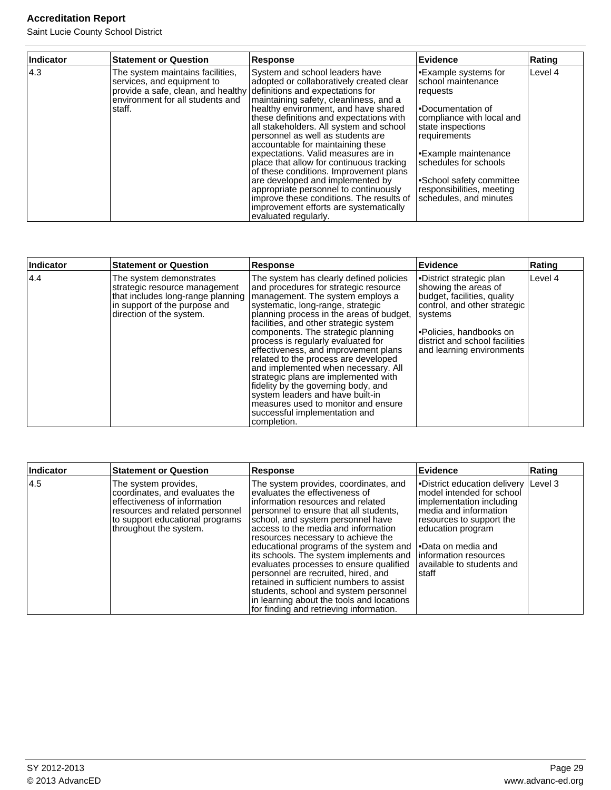| Indicator | <b>Statement or Question</b>                                                                                                                                                        | <b>Response</b>                                                                                                                                                                                                                                                                                                                                                                                                                                                                                                                                                                                                                                      | Evidence                                                                                                                                                                                                                                                                                 | Rating  |
|-----------|-------------------------------------------------------------------------------------------------------------------------------------------------------------------------------------|------------------------------------------------------------------------------------------------------------------------------------------------------------------------------------------------------------------------------------------------------------------------------------------------------------------------------------------------------------------------------------------------------------------------------------------------------------------------------------------------------------------------------------------------------------------------------------------------------------------------------------------------------|------------------------------------------------------------------------------------------------------------------------------------------------------------------------------------------------------------------------------------------------------------------------------------------|---------|
| 4.3       | The system maintains facilities,<br>services, and equipment to<br>provide a safe, clean, and healthy definitions and expectations for<br>environment for all students and<br>staff. | System and school leaders have<br>adopted or collaboratively created clear<br>maintaining safety, cleanliness, and a<br>healthy environment, and have shared<br>these definitions and expectations with<br>all stakeholders. All system and school<br>personnel as well as students are<br>accountable for maintaining these<br>expectations. Valid measures are in<br>place that allow for continuous tracking<br>of these conditions. Improvement plans<br>are developed and implemented by<br>appropriate personnel to continuously<br>improve these conditions. The results of<br>improvement efforts are systematically<br>evaluated regularly. | <b>Example systems for</b><br>school maintenance<br>requests<br>I∙Documentation of<br>compliance with local and<br>state inspections<br>requirements<br> •Example maintenance<br>schedules for schools<br>School safety committee<br>responsibilities, meeting<br>schedules, and minutes | Level 4 |

| Indicator | <b>Statement or Question</b>                                                                                                                               | Response                                                                                                                                                                                                                                                                                                                                                                                                                                                                                                                                                                                                                                                     | Evidence                                                                                                                                                                                                              | Rating  |
|-----------|------------------------------------------------------------------------------------------------------------------------------------------------------------|--------------------------------------------------------------------------------------------------------------------------------------------------------------------------------------------------------------------------------------------------------------------------------------------------------------------------------------------------------------------------------------------------------------------------------------------------------------------------------------------------------------------------------------------------------------------------------------------------------------------------------------------------------------|-----------------------------------------------------------------------------------------------------------------------------------------------------------------------------------------------------------------------|---------|
| 4.4       | The system demonstrates<br>strategic resource management<br>that includes long-range planning<br>in support of the purpose and<br>direction of the system. | The system has clearly defined policies<br>and procedures for strategic resource<br>management. The system employs a<br>systematic, long-range, strategic<br>planning process in the areas of budget,<br>facilities, and other strategic system<br>components. The strategic planning<br>process is regularly evaluated for<br>effectiveness, and improvement plans<br>related to the process are developed<br>and implemented when necessary. All<br>strategic plans are implemented with<br>fidelity by the governing body, and<br>system leaders and have built-in<br>measures used to monitor and ensure<br>successful implementation and<br>completion. | •District strategic plan<br>showing the areas of<br>budget, facilities, quality<br>control, and other strategic<br>svstems<br>l•Policies, handbooks on<br>district and school facilities<br>and learning environments | Level 4 |

| Indicator | <b>Statement or Question</b>                                                                                                                                                           | Response                                                                                                                                                                                                                                                                                                                                                                                                                                                                                                                                                                                                                                                               | Evidence                                                                                                                                                                                                           | Rating |
|-----------|----------------------------------------------------------------------------------------------------------------------------------------------------------------------------------------|------------------------------------------------------------------------------------------------------------------------------------------------------------------------------------------------------------------------------------------------------------------------------------------------------------------------------------------------------------------------------------------------------------------------------------------------------------------------------------------------------------------------------------------------------------------------------------------------------------------------------------------------------------------------|--------------------------------------------------------------------------------------------------------------------------------------------------------------------------------------------------------------------|--------|
| 14.5      | The system provides,<br>coordinates, and evaluates the<br>effectiveness of information<br>resources and related personnel<br>to support educational programs<br>throughout the system. | The system provides, coordinates, and<br>evaluates the effectiveness of<br>information resources and related<br>personnel to ensure that all students,<br>school, and system personnel have<br>access to the media and information<br>resources necessary to achieve the<br>educational programs of the system and  •Data on media and<br>its schools. The system implements and  information resources<br>evaluates processes to ensure qualified<br>personnel are recruited, hired, and<br>retained in sufficient numbers to assist<br>students, school and system personnel<br>in learning about the tools and locations<br>for finding and retrieving information. | •District education delivery   Level 3<br>Imodel intended for school<br>implementation including<br>media and information<br>resources to support the<br>education program<br>lavailable to students and<br>Istaff |        |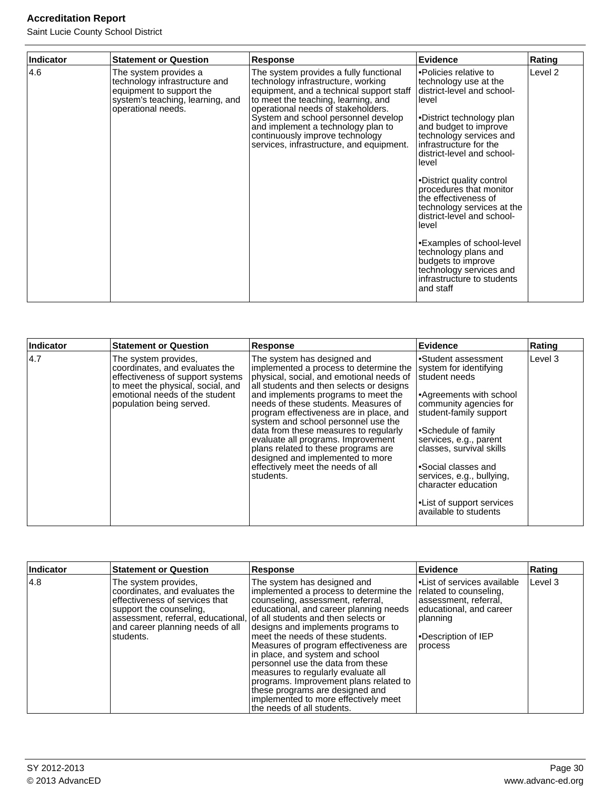| <b>Indicator</b> | <b>Statement or Question</b>                                                                                                                 | <b>Response</b>                                                                                                                                                                                                                                                                                                                                                   | <b>Evidence</b>                                                                                                                                                                                                                                                                                                                                                                                                                                                                                                                               | Rating  |
|------------------|----------------------------------------------------------------------------------------------------------------------------------------------|-------------------------------------------------------------------------------------------------------------------------------------------------------------------------------------------------------------------------------------------------------------------------------------------------------------------------------------------------------------------|-----------------------------------------------------------------------------------------------------------------------------------------------------------------------------------------------------------------------------------------------------------------------------------------------------------------------------------------------------------------------------------------------------------------------------------------------------------------------------------------------------------------------------------------------|---------|
| 4.6              | The system provides a<br>technology infrastructure and<br>equipment to support the<br>system's teaching, learning, and<br>operational needs. | The system provides a fully functional<br>technology infrastructure, working<br>equipment, and a technical support staff<br>to meet the teaching, learning, and<br>operational needs of stakeholders.<br>System and school personnel develop<br>and implement a technology plan to<br>continuously improve technology<br>services, infrastructure, and equipment. | •Policies relative to<br>technology use at the<br>district-level and school-<br>level<br>•District technology plan<br>and budget to improve<br>technology services and<br>infrastructure for the<br>district-level and school-<br>level<br>•District quality control<br>procedures that monitor<br>the effectiveness of<br>technology services at the<br>district-level and school-<br>level<br>•Examples of school-level<br>technology plans and<br>budgets to improve<br>technology services and<br>infrastructure to students<br>and staff | Level 2 |

| Indicator | <b>Statement or Question</b>                                                                                                                                                                  | Response                                                                                                                                                                                                                                                                                                                                                                                                                                                                                                                                   | Evidence                                                                                                                                                                                                                                                                                                                                                     | Rating  |
|-----------|-----------------------------------------------------------------------------------------------------------------------------------------------------------------------------------------------|--------------------------------------------------------------------------------------------------------------------------------------------------------------------------------------------------------------------------------------------------------------------------------------------------------------------------------------------------------------------------------------------------------------------------------------------------------------------------------------------------------------------------------------------|--------------------------------------------------------------------------------------------------------------------------------------------------------------------------------------------------------------------------------------------------------------------------------------------------------------------------------------------------------------|---------|
| 4.7       | The system provides,<br>coordinates, and evaluates the<br>effectiveness of support systems<br>to meet the physical, social, and<br>emotional needs of the student<br>population being served. | The system has designed and<br>implemented a process to determine the<br>physical, social, and emotional needs of<br>all students and then selects or designs<br>and implements programs to meet the<br>needs of these students. Measures of<br>program effectiveness are in place, and<br>system and school personnel use the<br>data from these measures to regularly<br>evaluate all programs. Improvement<br>plans related to these programs are<br>designed and implemented to more<br>effectively meet the needs of all<br>students. | •Student assessment<br>system for identifying<br>student needs<br>Agreements with school<br>community agencies for<br>student-family support<br>l∙Schedule of family<br>services, e.g., parent<br>classes, survival skills<br>•Social classes and<br>services, e.g., bullying,<br>character education<br>• List of support services<br>available to students | Level 3 |

| Indicator | <b>Statement or Question</b>                                                                                                                                          | <b>Response</b>                                                                                                                                                                                                                                                                                                                                                                                                                                                                                                                                                                                                     | Evidence                                                                                                                                                   | Rating  |
|-----------|-----------------------------------------------------------------------------------------------------------------------------------------------------------------------|---------------------------------------------------------------------------------------------------------------------------------------------------------------------------------------------------------------------------------------------------------------------------------------------------------------------------------------------------------------------------------------------------------------------------------------------------------------------------------------------------------------------------------------------------------------------------------------------------------------------|------------------------------------------------------------------------------------------------------------------------------------------------------------|---------|
| 14.8      | The system provides,<br>coordinates, and evaluates the<br>effectiveness of services that<br>support the counseling,<br>and career planning needs of all<br>Istudents. | The system has designed and<br>implemented a process to determine the<br>counseling, assessment, referral,<br>educational, and career planning needs<br>assessment, referral, educational, of all students and then selects or<br>designs and implements programs to<br>meet the needs of these students.<br>Measures of program effectiveness are<br>in place, and system and school<br>personnel use the data from these<br>measures to regularly evaluate all<br>programs. Improvement plans related to<br>these programs are designed and<br>implemented to more effectively meet<br>the needs of all students. | l•List of services available<br>related to counseling,<br>assessment, referral,<br>educational, and career<br> planning<br>l∙Description of IEP<br>process | Level 3 |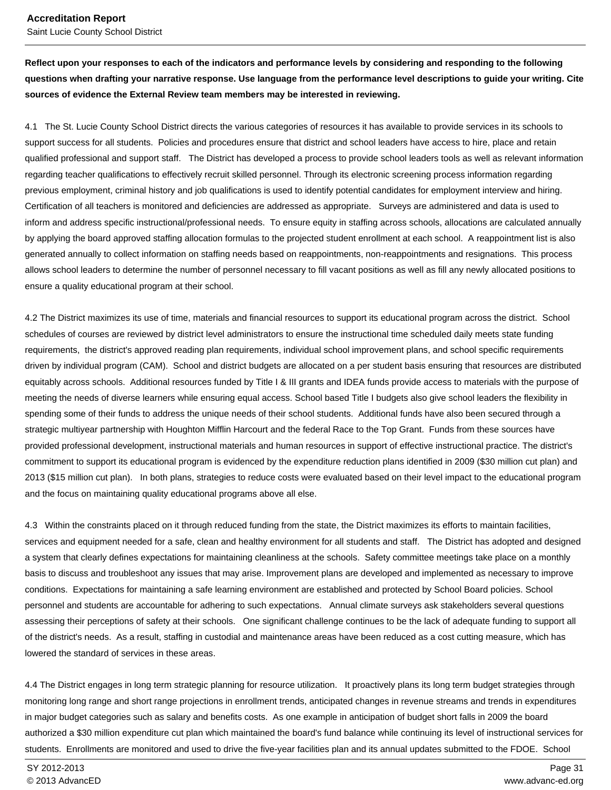**Reflect upon your responses to each of the indicators and performance levels by considering and responding to the following questions when drafting your narrative response. Use language from the performance level descriptions to guide your writing. Cite sources of evidence the External Review team members may be interested in reviewing.**

4.1 The St. Lucie County School District directs the various categories of resources it has available to provide services in its schools to support success for all students. Policies and procedures ensure that district and school leaders have access to hire, place and retain qualified professional and support staff. The District has developed a process to provide school leaders tools as well as relevant information regarding teacher qualifications to effectively recruit skilled personnel. Through its electronic screening process information regarding previous employment, criminal history and job qualifications is used to identify potential candidates for employment interview and hiring. Certification of all teachers is monitored and deficiencies are addressed as appropriate. Surveys are administered and data is used to inform and address specific instructional/professional needs. To ensure equity in staffing across schools, allocations are calculated annually by applying the board approved staffing allocation formulas to the projected student enrollment at each school. A reappointment list is also generated annually to collect information on staffing needs based on reappointments, non-reappointments and resignations. This process allows school leaders to determine the number of personnel necessary to fill vacant positions as well as fill any newly allocated positions to ensure a quality educational program at their school.

4.2 The District maximizes its use of time, materials and financial resources to support its educational program across the district. School schedules of courses are reviewed by district level administrators to ensure the instructional time scheduled daily meets state funding requirements, the district's approved reading plan requirements, individual school improvement plans, and school specific requirements driven by individual program (CAM). School and district budgets are allocated on a per student basis ensuring that resources are distributed equitably across schools. Additional resources funded by Title I & III grants and IDEA funds provide access to materials with the purpose of meeting the needs of diverse learners while ensuring equal access. School based Title I budgets also give school leaders the flexibility in spending some of their funds to address the unique needs of their school students. Additional funds have also been secured through a strategic multiyear partnership with Houghton Mifflin Harcourt and the federal Race to the Top Grant. Funds from these sources have provided professional development, instructional materials and human resources in support of effective instructional practice. The district's commitment to support its educational program is evidenced by the expenditure reduction plans identified in 2009 (\$30 million cut plan) and 2013 (\$15 million cut plan). In both plans, strategies to reduce costs were evaluated based on their level impact to the educational program and the focus on maintaining quality educational programs above all else.

4.3 Within the constraints placed on it through reduced funding from the state, the District maximizes its efforts to maintain facilities, services and equipment needed for a safe, clean and healthy environment for all students and staff. The District has adopted and designed a system that clearly defines expectations for maintaining cleanliness at the schools. Safety committee meetings take place on a monthly basis to discuss and troubleshoot any issues that may arise. Improvement plans are developed and implemented as necessary to improve conditions. Expectations for maintaining a safe learning environment are established and protected by School Board policies. School personnel and students are accountable for adhering to such expectations. Annual climate surveys ask stakeholders several questions assessing their perceptions of safety at their schools. One significant challenge continues to be the lack of adequate funding to support all of the district's needs. As a result, staffing in custodial and maintenance areas have been reduced as a cost cutting measure, which has lowered the standard of services in these areas.

4.4 The District engages in long term strategic planning for resource utilization. It proactively plans its long term budget strategies through monitoring long range and short range projections in enrollment trends, anticipated changes in revenue streams and trends in expenditures in major budget categories such as salary and benefits costs. As one example in anticipation of budget short falls in 2009 the board authorized a \$30 million expenditure cut plan which maintained the board's fund balance while continuing its level of instructional services for students. Enrollments are monitored and used to drive the five-year facilities plan and its annual updates submitted to the FDOE. School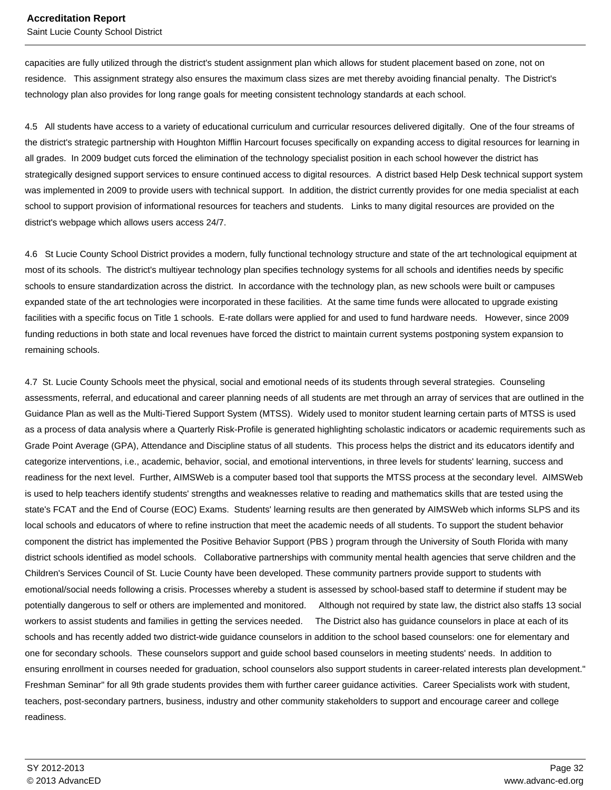Saint Lucie County School District

capacities are fully utilized through the district's student assignment plan which allows for student placement based on zone, not on residence. This assignment strategy also ensures the maximum class sizes are met thereby avoiding financial penalty. The District's technology plan also provides for long range goals for meeting consistent technology standards at each school.

4.5 All students have access to a variety of educational curriculum and curricular resources delivered digitally. One of the four streams of the district's strategic partnership with Houghton Mifflin Harcourt focuses specifically on expanding access to digital resources for learning in all grades. In 2009 budget cuts forced the elimination of the technology specialist position in each school however the district has strategically designed support services to ensure continued access to digital resources. A district based Help Desk technical support system was implemented in 2009 to provide users with technical support. In addition, the district currently provides for one media specialist at each school to support provision of informational resources for teachers and students. Links to many digital resources are provided on the district's webpage which allows users access 24/7.

4.6 St Lucie County School District provides a modern, fully functional technology structure and state of the art technological equipment at most of its schools. The district's multiyear technology plan specifies technology systems for all schools and identifies needs by specific schools to ensure standardization across the district. In accordance with the technology plan, as new schools were built or campuses expanded state of the art technologies were incorporated in these facilities. At the same time funds were allocated to upgrade existing facilities with a specific focus on Title 1 schools. E-rate dollars were applied for and used to fund hardware needs. However, since 2009 funding reductions in both state and local revenues have forced the district to maintain current systems postponing system expansion to remaining schools.

 4.7 St. Lucie County Schools meet the physical, social and emotional needs of its students through several strategies. Counseling assessments, referral, and educational and career planning needs of all students are met through an array of services that are outlined in the Guidance Plan as well as the Multi-Tiered Support System (MTSS). Widely used to monitor student learning certain parts of MTSS is used as a process of data analysis where a Quarterly Risk-Profile is generated highlighting scholastic indicators or academic requirements such as Grade Point Average (GPA), Attendance and Discipline status of all students. This process helps the district and its educators identify and categorize interventions, i.e., academic, behavior, social, and emotional interventions, in three levels for students' learning, success and readiness for the next level. Further, AIMSWeb is a computer based tool that supports the MTSS process at the secondary level. AIMSWeb is used to help teachers identify students' strengths and weaknesses relative to reading and mathematics skills that are tested using the state's FCAT and the End of Course (EOC) Exams. Students' learning results are then generated by AIMSWeb which informs SLPS and its local schools and educators of where to refine instruction that meet the academic needs of all students. To support the student behavior component the district has implemented the Positive Behavior Support (PBS ) program through the University of South Florida with many district schools identified as model schools. Collaborative partnerships with community mental health agencies that serve children and the Children's Services Council of St. Lucie County have been developed. These community partners provide support to students with emotional/social needs following a crisis. Processes whereby a student is assessed by school-based staff to determine if student may be potentially dangerous to self or others are implemented and monitored. Although not required by state law, the district also staffs 13 social workers to assist students and families in getting the services needed. The District also has guidance counselors in place at each of its schools and has recently added two district-wide guidance counselors in addition to the school based counselors: one for elementary and one for secondary schools. These counselors support and guide school based counselors in meeting students' needs. In addition to ensuring enrollment in courses needed for graduation, school counselors also support students in career-related interests plan development." Freshman Seminar" for all 9th grade students provides them with further career guidance activities. Career Specialists work with student, teachers, post-secondary partners, business, industry and other community stakeholders to support and encourage career and college readiness.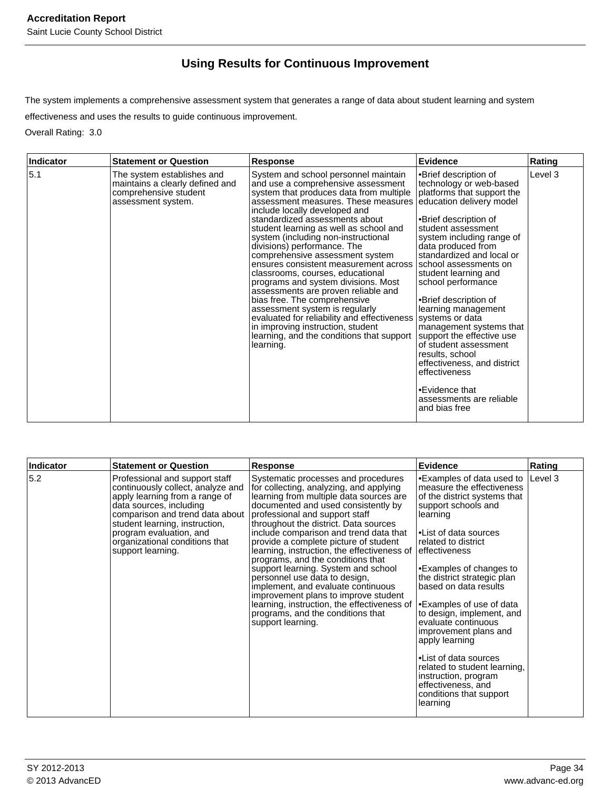# **Using Results for Continuous Improvement**

The system implements a comprehensive assessment system that generates a range of data about student learning and system effectiveness and uses the results to guide continuous improvement.

Overall Rating: 3.0

| Indicator | <b>Statement or Question</b>                                                                                 | <b>Response</b>                                                                                                                                                                                                                                                                                                                                                                                                                                                                                                                                                                                                                                                                                                                                               | <b>Evidence</b>                                                                                                                                                                                                                                                                                                                                                                                                                                                                                                                                                                                         | Rating  |
|-----------|--------------------------------------------------------------------------------------------------------------|---------------------------------------------------------------------------------------------------------------------------------------------------------------------------------------------------------------------------------------------------------------------------------------------------------------------------------------------------------------------------------------------------------------------------------------------------------------------------------------------------------------------------------------------------------------------------------------------------------------------------------------------------------------------------------------------------------------------------------------------------------------|---------------------------------------------------------------------------------------------------------------------------------------------------------------------------------------------------------------------------------------------------------------------------------------------------------------------------------------------------------------------------------------------------------------------------------------------------------------------------------------------------------------------------------------------------------------------------------------------------------|---------|
| 5.1       | The system establishes and<br>maintains a clearly defined and<br>comprehensive student<br>assessment system. | System and school personnel maintain<br>and use a comprehensive assessment<br>system that produces data from multiple<br>assessment measures. These measures<br>include locally developed and<br>standardized assessments about<br>student learning as well as school and<br>system (including non-instructional<br>divisions) performance. The<br>comprehensive assessment system<br>ensures consistent measurement across<br>classrooms, courses, educational<br>programs and system divisions. Most<br>assessments are proven reliable and<br>bias free. The comprehensive<br>assessment system is regularly<br>evaluated for reliability and effectiveness<br>in improving instruction, student<br>learning, and the conditions that support<br>learning. | •Brief description of<br>technology or web-based<br>platforms that support the<br>education delivery model<br>l•Brief description of<br>student assessment<br>system including range of<br>data produced from<br>standardized and local or<br>school assessments on<br>student learning and<br>school performance<br>•Brief description of<br>learning management<br>systems or data<br>management systems that<br>support the effective use<br>of student assessment<br>results, school<br>effectiveness, and district<br>effectiveness<br>•Evidence that<br>assessments are reliable<br>and bias free | Level 3 |

| <b>Indicator</b> | <b>Statement or Question</b>                                                                                                                                                                                                                                                            | <b>Response</b>                                                                                                                                                                                                                                                                                                                                                                                                                                                                                                                                                                                                                                                                   | <b>Evidence</b>                                                                                                                                                                                                                                                                                                                                                                                                                                                                                                                                                       | Rating |
|------------------|-----------------------------------------------------------------------------------------------------------------------------------------------------------------------------------------------------------------------------------------------------------------------------------------|-----------------------------------------------------------------------------------------------------------------------------------------------------------------------------------------------------------------------------------------------------------------------------------------------------------------------------------------------------------------------------------------------------------------------------------------------------------------------------------------------------------------------------------------------------------------------------------------------------------------------------------------------------------------------------------|-----------------------------------------------------------------------------------------------------------------------------------------------------------------------------------------------------------------------------------------------------------------------------------------------------------------------------------------------------------------------------------------------------------------------------------------------------------------------------------------------------------------------------------------------------------------------|--------|
| 5.2              | Professional and support staff<br>continuously collect, analyze and<br>apply learning from a range of<br>data sources, including<br>comparison and trend data about<br>student learning, instruction,<br>program evaluation, and<br>organizational conditions that<br>support learning. | Systematic processes and procedures<br>for collecting, analyzing, and applying<br>learning from multiple data sources are<br>documented and used consistently by<br>professional and support staff<br>throughout the district. Data sources<br>include comparison and trend data that<br>provide a complete picture of student<br>learning, instruction, the effectiveness of<br>programs, and the conditions that<br>support learning. System and school<br>personnel use data to design,<br>implement, and evaluate continuous<br>improvement plans to improve student<br>learning, instruction, the effectiveness of<br>programs, and the conditions that<br>support learning. | •Examples of data used to  Level 3<br>measure the effectiveness<br>of the district systems that<br>support schools and<br>learning<br>List of data sources<br>related to district<br>leffectiveness<br>•Examples of changes to<br>the district strategic plan<br>based on data results<br><b>Examples of use of data</b><br>to design, implement, and<br>evaluate continuous<br>improvement plans and<br>apply learning<br>•List of data sources<br>related to student learning,<br>instruction, program<br>effectiveness, and<br>conditions that support<br>learning |        |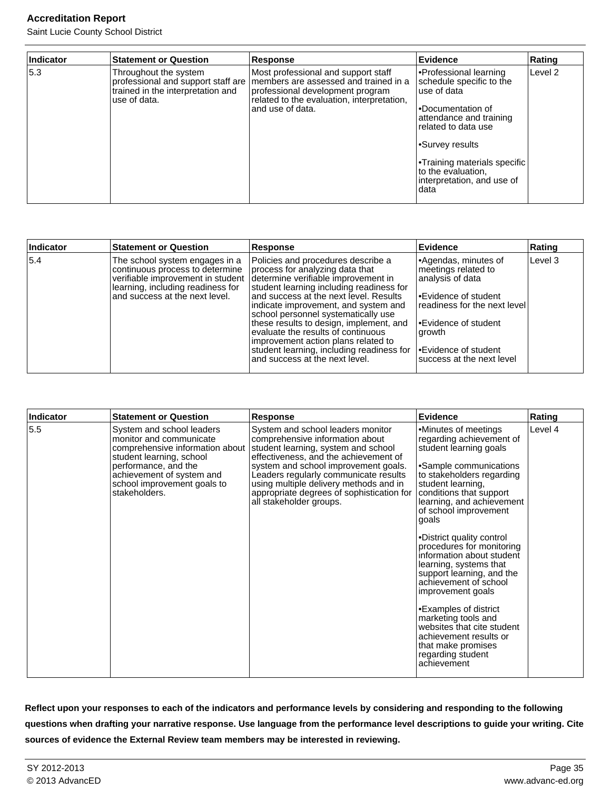Saint Lucie County School District

| Indicator | <b>Statement or Question</b>                                               | Response                                                                                                                                                                                                                | Evidence                                                                                                                                                                                                                                                    | Rating             |
|-----------|----------------------------------------------------------------------------|-------------------------------------------------------------------------------------------------------------------------------------------------------------------------------------------------------------------------|-------------------------------------------------------------------------------------------------------------------------------------------------------------------------------------------------------------------------------------------------------------|--------------------|
| 5.3       | Throughout the system<br>trained in the interpretation and<br>use of data. | Most professional and support staff<br>professional and support staff are   members are assessed and trained in a<br>professional development program<br>related to the evaluation, interpretation,<br>and use of data. | Professional learning<br>schedule specific to the<br>luse of data<br>l∙Documentation of<br>attendance and training<br>related to data use<br>l∙Survey results<br>•Training materials specific<br>Ito the evaluation.<br>interpretation, and use of<br>ldata | Level <sub>2</sub> |

| Indicator | <b>Statement or Question</b>                                                                                                                                                  | <b>Response</b>                                                                                                                                                                                                                                                                                                                                                                                                                                                                          | Evidence                                                                                                                                                                                                          | Rating  |
|-----------|-------------------------------------------------------------------------------------------------------------------------------------------------------------------------------|------------------------------------------------------------------------------------------------------------------------------------------------------------------------------------------------------------------------------------------------------------------------------------------------------------------------------------------------------------------------------------------------------------------------------------------------------------------------------------------|-------------------------------------------------------------------------------------------------------------------------------------------------------------------------------------------------------------------|---------|
| 5.4       | The school system engages in a<br>continuous process to determine<br>verifiable improvement in student<br>learning, including readiness for<br>and success at the next level. | Policies and procedures describe a<br>process for analyzing data that<br>determine verifiable improvement in<br>student learning including readiness for<br>and success at the next level. Results<br>indicate improvement, and system and<br>school personnel systematically use<br>these results to design, implement, and<br>evaluate the results of continuous<br>improvement action plans related to<br>student learning, including readiness for<br>and success at the next level. | •Agendas, minutes of<br>meetings related to<br>analysis of data<br>l∙Evidence of student<br>readiness for the next level<br>l∙Evidence of student<br>growth<br>l∙Evidence of student<br>success at the next level | Level 3 |

| <b>Indicator</b><br><b>Statement or Question</b>                                                                                                                                                                                | <b>Response</b> |                                                                                                                                                                                                                                                                                                                                                         | Evidence                                                                                                                                                                                                                                                                                                                                                                                                                                                                                                                                                                                                       | Rating  |
|---------------------------------------------------------------------------------------------------------------------------------------------------------------------------------------------------------------------------------|-----------------|---------------------------------------------------------------------------------------------------------------------------------------------------------------------------------------------------------------------------------------------------------------------------------------------------------------------------------------------------------|----------------------------------------------------------------------------------------------------------------------------------------------------------------------------------------------------------------------------------------------------------------------------------------------------------------------------------------------------------------------------------------------------------------------------------------------------------------------------------------------------------------------------------------------------------------------------------------------------------------|---------|
| 5.5<br>System and school leaders<br>monitor and communicate<br>comprehensive information about<br>student learning, school<br>performance, and the<br>achievement of system and<br>school improvement goals to<br>stakeholders. |                 | System and school leaders monitor<br>comprehensive information about<br>student learning, system and school<br>effectiveness, and the achievement of<br>system and school improvement goals.<br>Leaders regularly communicate results<br>using multiple delivery methods and in<br>appropriate degrees of sophistication for<br>all stakeholder groups. | •Minutes of meetings<br>regarding achievement of<br>student learning goals<br>•Sample communications<br>to stakeholders regarding<br>student learning,<br>conditions that support<br>learning, and achievement<br>of school improvement<br>goals<br>•District quality control<br>procedures for monitoring<br>information about student<br>learning, systems that<br>support learning, and the<br>achievement of school<br>improvement goals<br>•Examples of district<br>marketing tools and<br>websites that cite student<br>achievement results or<br>that make promises<br>regarding student<br>achievement | Level 4 |

**Reflect upon your responses to each of the indicators and performance levels by considering and responding to the following questions when drafting your narrative response. Use language from the performance level descriptions to guide your writing. Cite sources of evidence the External Review team members may be interested in reviewing.**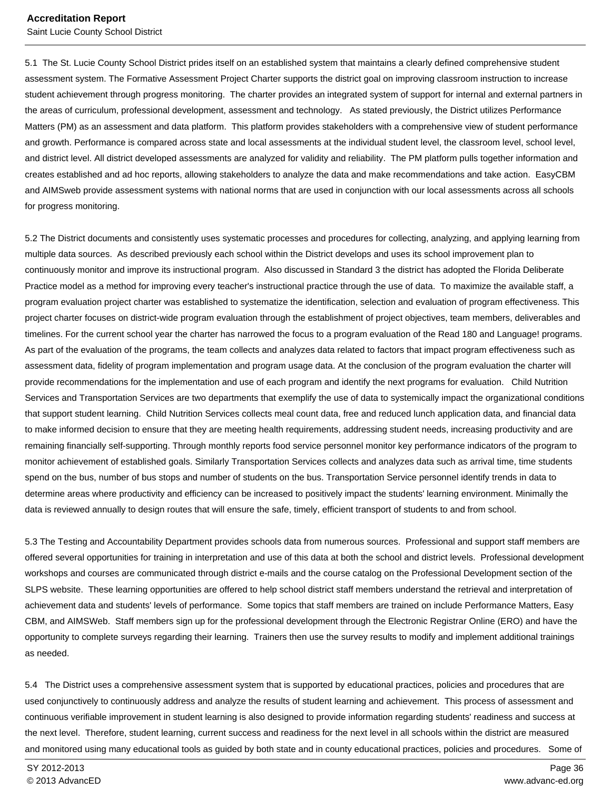5.1 The St. Lucie County School District prides itself on an established system that maintains a clearly defined comprehensive student assessment system. The Formative Assessment Project Charter supports the district goal on improving classroom instruction to increase student achievement through progress monitoring. The charter provides an integrated system of support for internal and external partners in the areas of curriculum, professional development, assessment and technology. As stated previously, the District utilizes Performance Matters (PM) as an assessment and data platform. This platform provides stakeholders with a comprehensive view of student performance and growth. Performance is compared across state and local assessments at the individual student level, the classroom level, school level, and district level. All district developed assessments are analyzed for validity and reliability. The PM platform pulls together information and creates established and ad hoc reports, allowing stakeholders to analyze the data and make recommendations and take action. EasyCBM and AIMSweb provide assessment systems with national norms that are used in conjunction with our local assessments across all schools for progress monitoring.

5.2 The District documents and consistently uses systematic processes and procedures for collecting, analyzing, and applying learning from multiple data sources. As described previously each school within the District develops and uses its school improvement plan to continuously monitor and improve its instructional program. Also discussed in Standard 3 the district has adopted the Florida Deliberate Practice model as a method for improving every teacher's instructional practice through the use of data. To maximize the available staff, a program evaluation project charter was established to systematize the identification, selection and evaluation of program effectiveness. This project charter focuses on district-wide program evaluation through the establishment of project objectives, team members, deliverables and timelines. For the current school year the charter has narrowed the focus to a program evaluation of the Read 180 and Language! programs. As part of the evaluation of the programs, the team collects and analyzes data related to factors that impact program effectiveness such as assessment data, fidelity of program implementation and program usage data. At the conclusion of the program evaluation the charter will provide recommendations for the implementation and use of each program and identify the next programs for evaluation. Child Nutrition Services and Transportation Services are two departments that exemplify the use of data to systemically impact the organizational conditions that support student learning. Child Nutrition Services collects meal count data, free and reduced lunch application data, and financial data to make informed decision to ensure that they are meeting health requirements, addressing student needs, increasing productivity and are remaining financially self-supporting. Through monthly reports food service personnel monitor key performance indicators of the program to monitor achievement of established goals. Similarly Transportation Services collects and analyzes data such as arrival time, time students spend on the bus, number of bus stops and number of students on the bus. Transportation Service personnel identify trends in data to determine areas where productivity and efficiency can be increased to positively impact the students' learning environment. Minimally the data is reviewed annually to design routes that will ensure the safe, timely, efficient transport of students to and from school.

5.3 The Testing and Accountability Department provides schools data from numerous sources. Professional and support staff members are offered several opportunities for training in interpretation and use of this data at both the school and district levels. Professional development workshops and courses are communicated through district e-mails and the course catalog on the Professional Development section of the SLPS website. These learning opportunities are offered to help school district staff members understand the retrieval and interpretation of achievement data and students' levels of performance. Some topics that staff members are trained on include Performance Matters, Easy CBM, and AIMSWeb. Staff members sign up for the professional development through the Electronic Registrar Online (ERO) and have the opportunity to complete surveys regarding their learning. Trainers then use the survey results to modify and implement additional trainings as needed.

5.4 The District uses a comprehensive assessment system that is supported by educational practices, policies and procedures that are used conjunctively to continuously address and analyze the results of student learning and achievement. This process of assessment and continuous verifiable improvement in student learning is also designed to provide information regarding students' readiness and success at the next level. Therefore, student learning, current success and readiness for the next level in all schools within the district are measured and monitored using many educational tools as guided by both state and in county educational practices, policies and procedures. Some of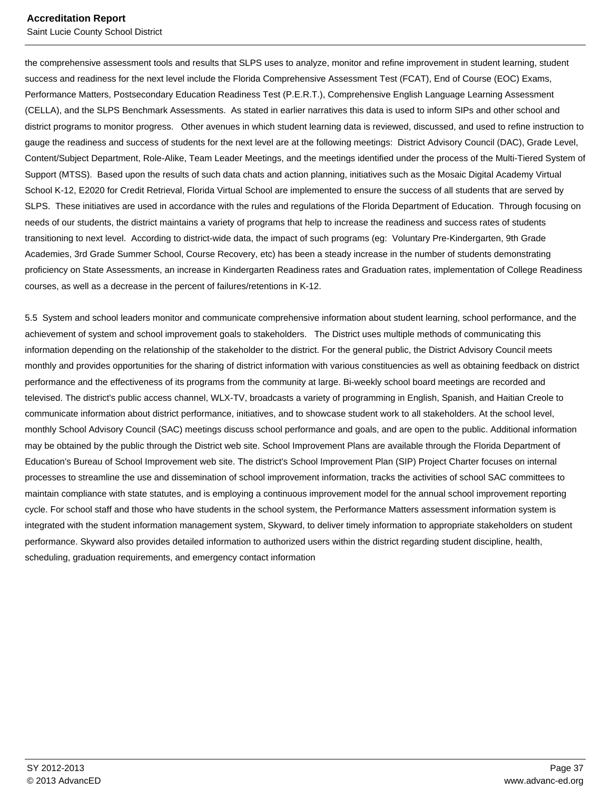Saint Lucie County School District

the comprehensive assessment tools and results that SLPS uses to analyze, monitor and refine improvement in student learning, student success and readiness for the next level include the Florida Comprehensive Assessment Test (FCAT), End of Course (EOC) Exams, Performance Matters, Postsecondary Education Readiness Test (P.E.R.T.), Comprehensive English Language Learning Assessment (CELLA), and the SLPS Benchmark Assessments. As stated in earlier narratives this data is used to inform SIPs and other school and district programs to monitor progress. Other avenues in which student learning data is reviewed, discussed, and used to refine instruction to gauge the readiness and success of students for the next level are at the following meetings: District Advisory Council (DAC), Grade Level, Content/Subject Department, Role-Alike, Team Leader Meetings, and the meetings identified under the process of the Multi-Tiered System of Support (MTSS). Based upon the results of such data chats and action planning, initiatives such as the Mosaic Digital Academy Virtual School K-12, E2020 for Credit Retrieval, Florida Virtual School are implemented to ensure the success of all students that are served by SLPS. These initiatives are used in accordance with the rules and regulations of the Florida Department of Education. Through focusing on needs of our students, the district maintains a variety of programs that help to increase the readiness and success rates of students transitioning to next level. According to district-wide data, the impact of such programs (eg: Voluntary Pre-Kindergarten, 9th Grade Academies, 3rd Grade Summer School, Course Recovery, etc) has been a steady increase in the number of students demonstrating proficiency on State Assessments, an increase in Kindergarten Readiness rates and Graduation rates, implementation of College Readiness courses, as well as a decrease in the percent of failures/retentions in K-12.

5.5 System and school leaders monitor and communicate comprehensive information about student learning, school performance, and the achievement of system and school improvement goals to stakeholders. The District uses multiple methods of communicating this information depending on the relationship of the stakeholder to the district. For the general public, the District Advisory Council meets monthly and provides opportunities for the sharing of district information with various constituencies as well as obtaining feedback on district performance and the effectiveness of its programs from the community at large. Bi-weekly school board meetings are recorded and televised. The district's public access channel, WLX-TV, broadcasts a variety of programming in English, Spanish, and Haitian Creole to communicate information about district performance, initiatives, and to showcase student work to all stakeholders. At the school level, monthly School Advisory Council (SAC) meetings discuss school performance and goals, and are open to the public. Additional information may be obtained by the public through the District web site. School Improvement Plans are available through the Florida Department of Education's Bureau of School Improvement web site. The district's School Improvement Plan (SIP) Project Charter focuses on internal processes to streamline the use and dissemination of school improvement information, tracks the activities of school SAC committees to maintain compliance with state statutes, and is employing a continuous improvement model for the annual school improvement reporting cycle. For school staff and those who have students in the school system, the Performance Matters assessment information system is integrated with the student information management system, Skyward, to deliver timely information to appropriate stakeholders on student performance. Skyward also provides detailed information to authorized users within the district regarding student discipline, health, scheduling, graduation requirements, and emergency contact information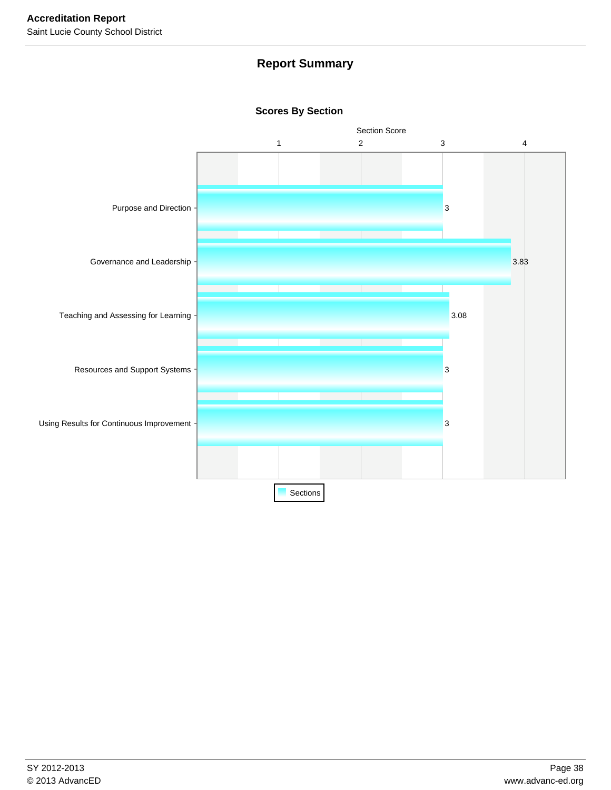# **Report Summary**



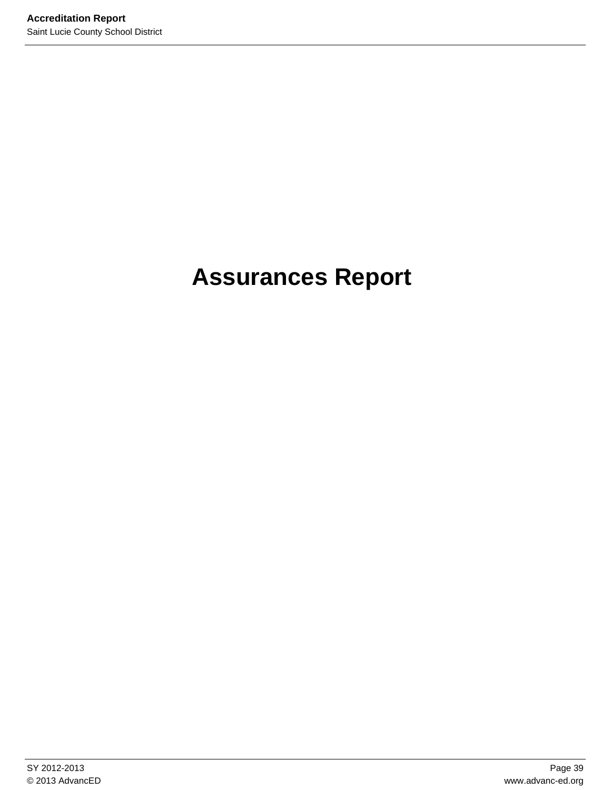# **Assurances Report**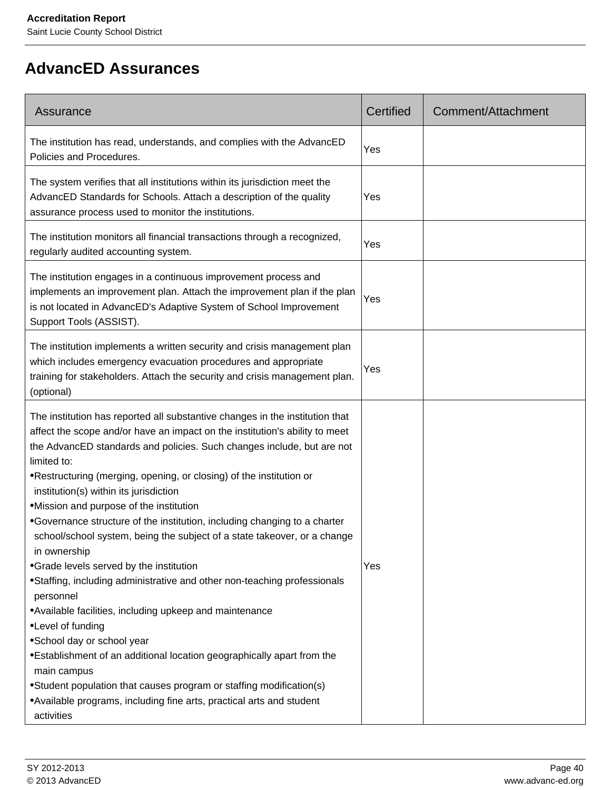# **AdvancED Assurances**

| Assurance                                                                                                                                                                                                                                                                                                                                                                                                                                                                                                                                                                                                                                                                                                                                                                                                                                                                                                                                                                                                                                                                                          | Certified | Comment/Attachment |
|----------------------------------------------------------------------------------------------------------------------------------------------------------------------------------------------------------------------------------------------------------------------------------------------------------------------------------------------------------------------------------------------------------------------------------------------------------------------------------------------------------------------------------------------------------------------------------------------------------------------------------------------------------------------------------------------------------------------------------------------------------------------------------------------------------------------------------------------------------------------------------------------------------------------------------------------------------------------------------------------------------------------------------------------------------------------------------------------------|-----------|--------------------|
| The institution has read, understands, and complies with the AdvancED<br>Policies and Procedures.                                                                                                                                                                                                                                                                                                                                                                                                                                                                                                                                                                                                                                                                                                                                                                                                                                                                                                                                                                                                  | Yes       |                    |
| The system verifies that all institutions within its jurisdiction meet the<br>AdvancED Standards for Schools. Attach a description of the quality<br>assurance process used to monitor the institutions.                                                                                                                                                                                                                                                                                                                                                                                                                                                                                                                                                                                                                                                                                                                                                                                                                                                                                           | Yes       |                    |
| The institution monitors all financial transactions through a recognized,<br>regularly audited accounting system.                                                                                                                                                                                                                                                                                                                                                                                                                                                                                                                                                                                                                                                                                                                                                                                                                                                                                                                                                                                  | Yes       |                    |
| The institution engages in a continuous improvement process and<br>implements an improvement plan. Attach the improvement plan if the plan<br>is not located in AdvancED's Adaptive System of School Improvement<br>Support Tools (ASSIST).                                                                                                                                                                                                                                                                                                                                                                                                                                                                                                                                                                                                                                                                                                                                                                                                                                                        | Yes       |                    |
| The institution implements a written security and crisis management plan<br>which includes emergency evacuation procedures and appropriate<br>training for stakeholders. Attach the security and crisis management plan.<br>(optional)                                                                                                                                                                                                                                                                                                                                                                                                                                                                                                                                                                                                                                                                                                                                                                                                                                                             | Yes       |                    |
| The institution has reported all substantive changes in the institution that<br>affect the scope and/or have an impact on the institution's ability to meet<br>the AdvancED standards and policies. Such changes include, but are not<br>limited to:<br>.Restructuring (merging, opening, or closing) of the institution or<br>institution(s) within its jurisdiction<br>•Mission and purpose of the institution<br>•Governance structure of the institution, including changing to a charter<br>school/school system, being the subject of a state takeover, or a change<br>in ownership<br>•Grade levels served by the institution<br>•Staffing, including administrative and other non-teaching professionals<br>personnel<br>•Available facilities, including upkeep and maintenance<br>•Level of funding<br>•School day or school year<br>•Establishment of an additional location geographically apart from the<br>main campus<br>•Student population that causes program or staffing modification(s)<br>• Available programs, including fine arts, practical arts and student<br>activities | Yes       |                    |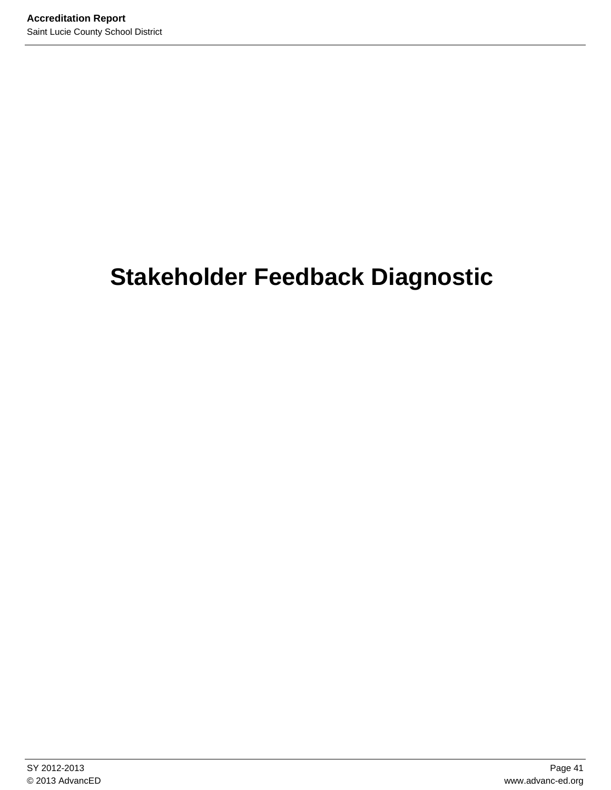# **Stakeholder Feedback Diagnostic**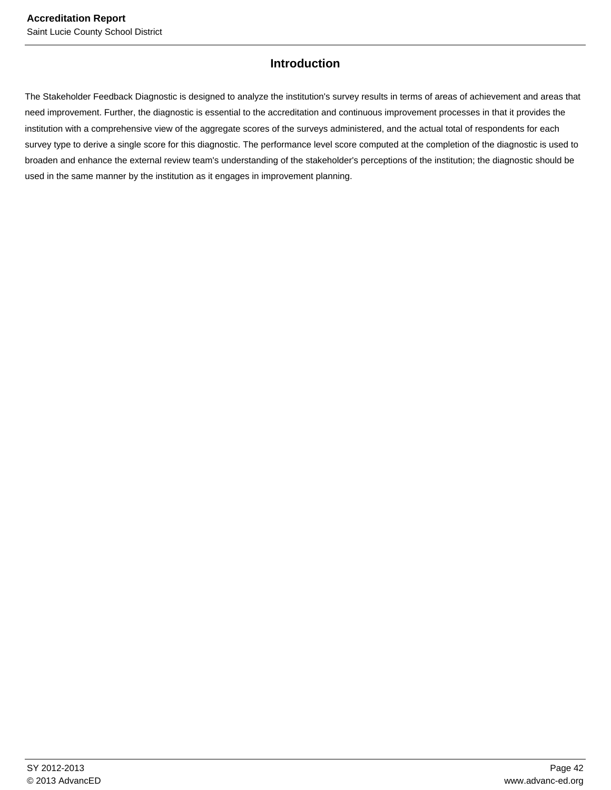# **Introduction**

The Stakeholder Feedback Diagnostic is designed to analyze the institution's survey results in terms of areas of achievement and areas that need improvement. Further, the diagnostic is essential to the accreditation and continuous improvement processes in that it provides the institution with a comprehensive view of the aggregate scores of the surveys administered, and the actual total of respondents for each survey type to derive a single score for this diagnostic. The performance level score computed at the completion of the diagnostic is used to broaden and enhance the external review team's understanding of the stakeholder's perceptions of the institution; the diagnostic should be used in the same manner by the institution as it engages in improvement planning.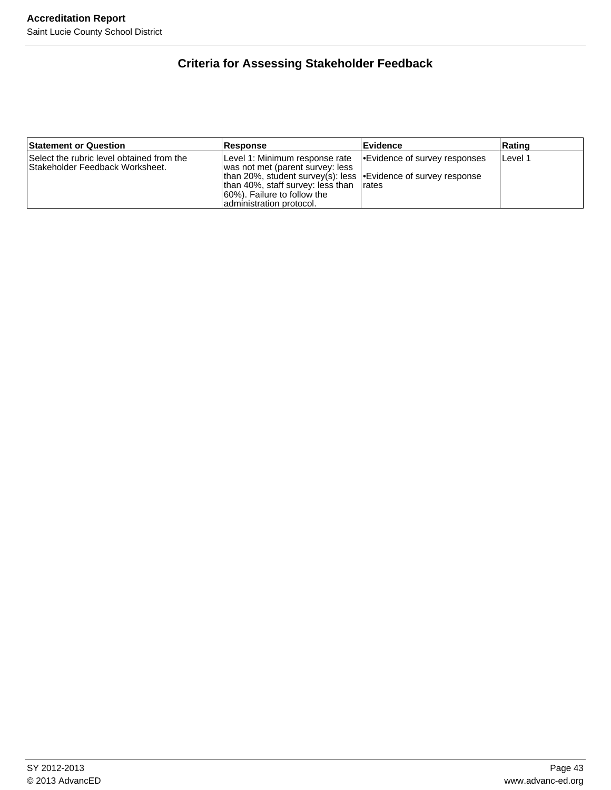# **Criteria for Assessing Stakeholder Feedback**

| <b>Statement or Question</b>                                                        | <b>Response</b>                                                                                                                                                                                                                                         | <b>Evidence</b>              | Rating  |
|-------------------------------------------------------------------------------------|---------------------------------------------------------------------------------------------------------------------------------------------------------------------------------------------------------------------------------------------------------|------------------------------|---------|
| Select the rubric level obtained from the<br><b>Stakeholder Feedback Worksheet.</b> | Level 1: Minimum response rate<br>was not met (parent survey: less<br> than 20%, student survey(s): less   • Evidence of survey response<br>$ $ than 40%, staff survey: less than $ $ rates<br>(60%). Failure to follow the<br>administration protocol. | Evidence of survey responses | Level 1 |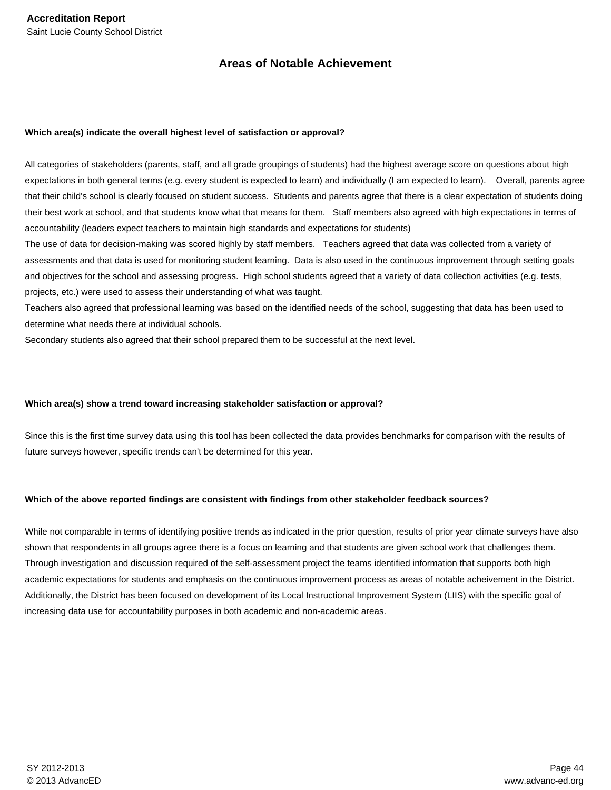## **Areas of Notable Achievement**

### **Which area(s) indicate the overall highest level of satisfaction or approval?**

All categories of stakeholders (parents, staff, and all grade groupings of students) had the highest average score on questions about high expectations in both general terms (e.g. every student is expected to learn) and individually (I am expected to learn). Overall, parents agree that their child's school is clearly focused on student success. Students and parents agree that there is a clear expectation of students doing their best work at school, and that students know what that means for them. Staff members also agreed with high expectations in terms of accountability (leaders expect teachers to maintain high standards and expectations for students)

The use of data for decision-making was scored highly by staff members. Teachers agreed that data was collected from a variety of assessments and that data is used for monitoring student learning. Data is also used in the continuous improvement through setting goals and objectives for the school and assessing progress. High school students agreed that a variety of data collection activities (e.g. tests, projects, etc.) were used to assess their understanding of what was taught.

Teachers also agreed that professional learning was based on the identified needs of the school, suggesting that data has been used to determine what needs there at individual schools.

Secondary students also agreed that their school prepared them to be successful at the next level.

### **Which area(s) show a trend toward increasing stakeholder satisfaction or approval?**

Since this is the first time survey data using this tool has been collected the data provides benchmarks for comparison with the results of future surveys however, specific trends can't be determined for this year.

### **Which of the above reported findings are consistent with findings from other stakeholder feedback sources?**

While not comparable in terms of identifying positive trends as indicated in the prior question, results of prior year climate surveys have also shown that respondents in all groups agree there is a focus on learning and that students are given school work that challenges them. Through investigation and discussion required of the self-assessment project the teams identified information that supports both high academic expectations for students and emphasis on the continuous improvement process as areas of notable acheivement in the District. Additionally, the District has been focused on development of its Local Instructional Improvement System (LIIS) with the specific goal of increasing data use for accountability purposes in both academic and non-academic areas.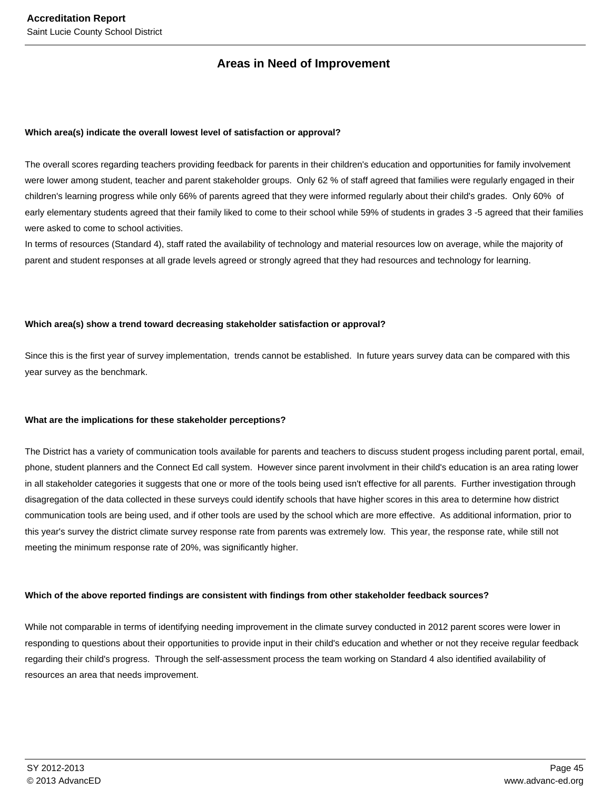# **Areas in Need of Improvement**

### **Which area(s) indicate the overall lowest level of satisfaction or approval?**

The overall scores regarding teachers providing feedback for parents in their children's education and opportunities for family involvement were lower among student, teacher and parent stakeholder groups. Only 62 % of staff agreed that families were regularly engaged in their children's learning progress while only 66% of parents agreed that they were informed regularly about their child's grades. Only 60% of early elementary students agreed that their family liked to come to their school while 59% of students in grades 3 -5 agreed that their families were asked to come to school activities.

In terms of resources (Standard 4), staff rated the availability of technology and material resources low on average, while the majority of parent and student responses at all grade levels agreed or strongly agreed that they had resources and technology for learning.

### **Which area(s) show a trend toward decreasing stakeholder satisfaction or approval?**

Since this is the first year of survey implementation, trends cannot be established. In future years survey data can be compared with this year survey as the benchmark.

#### **What are the implications for these stakeholder perceptions?**

The District has a variety of communication tools available for parents and teachers to discuss student progess including parent portal, email, phone, student planners and the Connect Ed call system. However since parent involvment in their child's education is an area rating lower in all stakeholder categories it suggests that one or more of the tools being used isn't effective for all parents. Further investigation through disagregation of the data collected in these surveys could identify schools that have higher scores in this area to determine how district communication tools are being used, and if other tools are used by the school which are more effective. As additional information, prior to this year's survey the district climate survey response rate from parents was extremely low. This year, the response rate, while still not meeting the minimum response rate of 20%, was significantly higher.

### **Which of the above reported findings are consistent with findings from other stakeholder feedback sources?**

While not comparable in terms of identifying needing improvement in the climate survey conducted in 2012 parent scores were lower in responding to questions about their opportunities to provide input in their child's education and whether or not they receive regular feedback regarding their child's progress. Through the self-assessment process the team working on Standard 4 also identified availability of resources an area that needs improvement.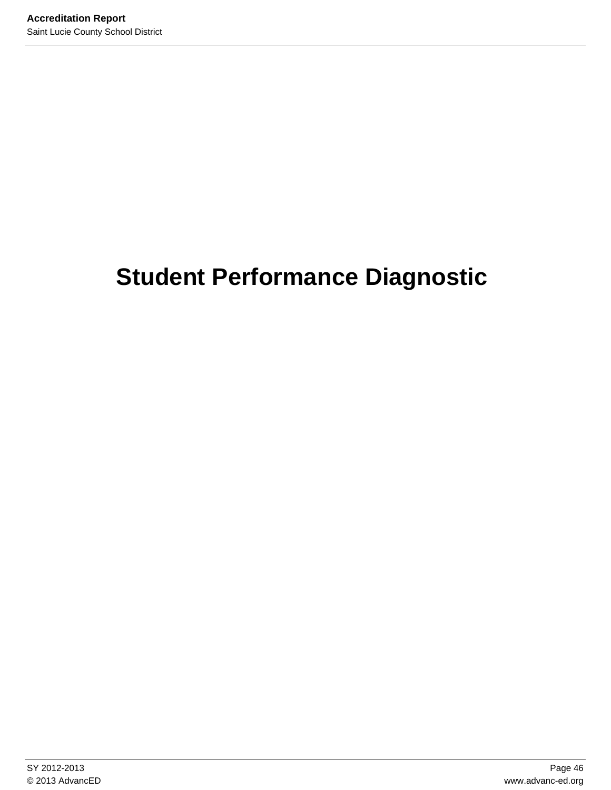# **Student Performance Diagnostic**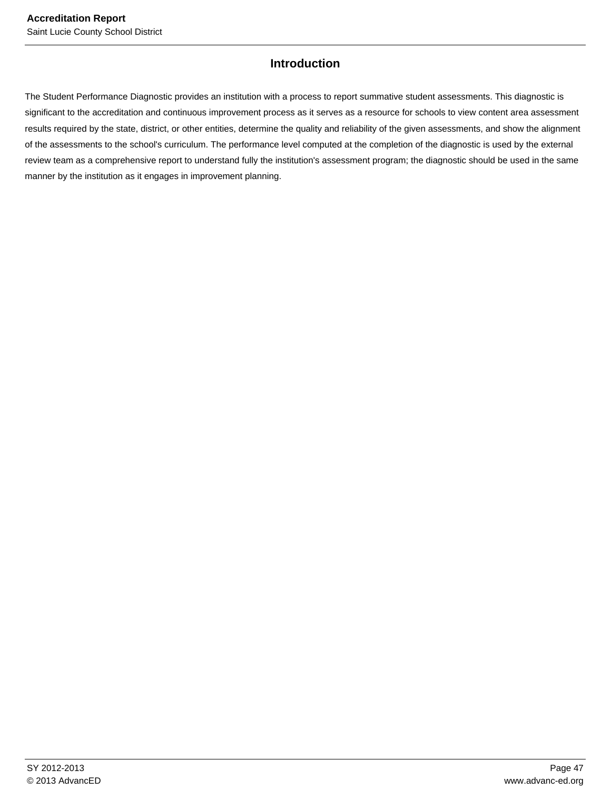# **Introduction**

The Student Performance Diagnostic provides an institution with a process to report summative student assessments. This diagnostic is significant to the accreditation and continuous improvement process as it serves as a resource for schools to view content area assessment results required by the state, district, or other entities, determine the quality and reliability of the given assessments, and show the alignment of the assessments to the school's curriculum. The performance level computed at the completion of the diagnostic is used by the external review team as a comprehensive report to understand fully the institution's assessment program; the diagnostic should be used in the same manner by the institution as it engages in improvement planning.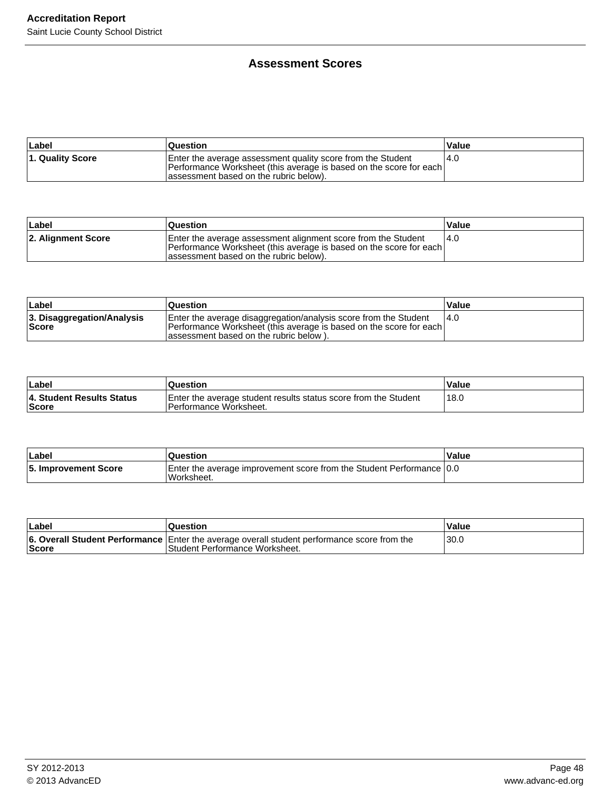### **Assessment Scores**

| Label            | Question                                                                                                                                                                      | Value |
|------------------|-------------------------------------------------------------------------------------------------------------------------------------------------------------------------------|-------|
| 1. Quality Score | Enter the average assessment quality score from the Student<br>Performance Worksheet (this average is based on the score for each)<br>lassessment based on the rubric below). | 4.0   |

| ∣Label             | <b>Question</b>                                                                                                                                                                 | l Value |
|--------------------|---------------------------------------------------------------------------------------------------------------------------------------------------------------------------------|---------|
| 2. Alignment Score | Enter the average assessment alignment score from the Student<br>Performance Worksheet (this average is based on the score for each)<br>lassessment based on the rubric below). | 14.O    |

| ∣Label                                     | <b>Question</b>                                                                                                                                                                     | <b>Value</b> |
|--------------------------------------------|-------------------------------------------------------------------------------------------------------------------------------------------------------------------------------------|--------------|
| 3. Disaggregation/Analysis<br><b>Score</b> | Enter the average disaggregation/analysis score from the Student<br> Performance Worksheet (this average is based on the score for each) <br>assessment based on the rubric below). | 14.0         |

| <b>Label</b>                                     | Question                                                                                    | Value  |
|--------------------------------------------------|---------------------------------------------------------------------------------------------|--------|
| <b>4. Student Results Status</b><br><b>Score</b> | Enter the average student results status score from the Student<br>l Performance Worksheet. | 18.0 ا |

| Label                       | Question                                                                             | Value |
|-----------------------------|--------------------------------------------------------------------------------------|-------|
| <b>5. Improvement Score</b> | Enter the average improvement score from the Student Performance   0.0<br>Worksheet. |       |

| Label        | Question                                                                                                                      | Value |
|--------------|-------------------------------------------------------------------------------------------------------------------------------|-------|
| <b>Score</b> | 6. Overall Student Performance Enter the average overall student performance score from the<br>Student Performance Worksheet. | 30.0  |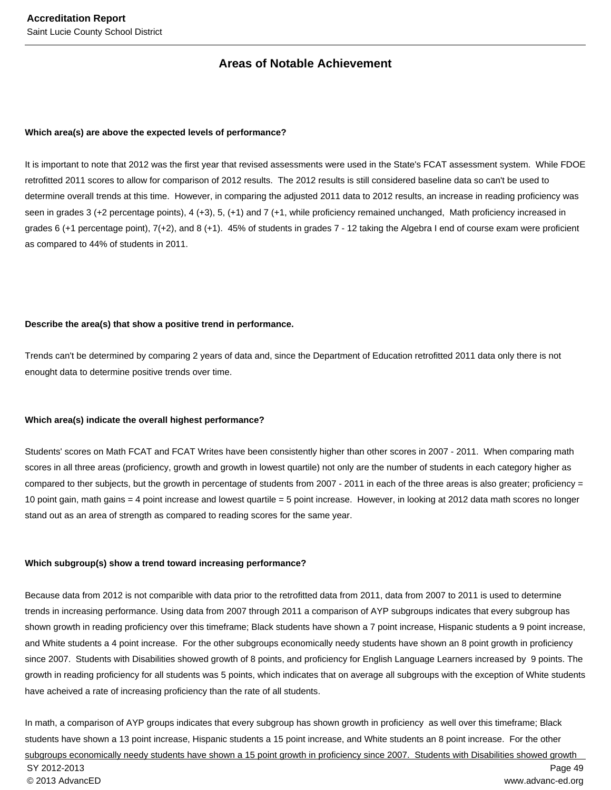### **Areas of Notable Achievement**

### **Which area(s) are above the expected levels of performance?**

It is important to note that 2012 was the first year that revised assessments were used in the State's FCAT assessment system. While FDOE retrofitted 2011 scores to allow for comparison of 2012 results. The 2012 results is still considered baseline data so can't be used to determine overall trends at this time. However, in comparing the adjusted 2011 data to 2012 results, an increase in reading proficiency was seen in grades 3 (+2 percentage points), 4 (+3), 5, (+1) and 7 (+1, while proficiency remained unchanged, Math proficiency increased in grades 6 (+1 percentage point), 7(+2), and 8 (+1). 45% of students in grades 7 - 12 taking the Algebra I end of course exam were proficient as compared to 44% of students in 2011.

### **Describe the area(s) that show a positive trend in performance.**

Trends can't be determined by comparing 2 years of data and, since the Department of Education retrofitted 2011 data only there is not enought data to determine positive trends over time.

#### **Which area(s) indicate the overall highest performance?**

Students' scores on Math FCAT and FCAT Writes have been consistently higher than other scores in 2007 - 2011. When comparing math scores in all three areas (proficiency, growth and growth in lowest quartile) not only are the number of students in each category higher as compared to ther subjects, but the growth in percentage of students from 2007 - 2011 in each of the three areas is also greater; proficiency = 10 point gain, math gains = 4 point increase and lowest quartile = 5 point increase. However, in looking at 2012 data math scores no longer stand out as an area of strength as compared to reading scores for the same year.

#### **Which subgroup(s) show a trend toward increasing performance?**

Because data from 2012 is not comparible with data prior to the retrofitted data from 2011, data from 2007 to 2011 is used to determine trends in increasing performance. Using data from 2007 through 2011 a comparison of AYP subgroups indicates that every subgroup has shown growth in reading proficiency over this timeframe; Black students have shown a 7 point increase, Hispanic students a 9 point increase, and White students a 4 point increase. For the other subgroups economically needy students have shown an 8 point growth in proficiency since 2007. Students with Disabilities showed growth of 8 points, and proficiency for English Language Learners increased by 9 points. The growth in reading proficiency for all students was 5 points, which indicates that on average all subgroups with the exception of White students have acheived a rate of increasing proficiency than the rate of all students.

In math, a comparison of AYP groups indicates that every subgroup has shown growth in proficiency as well over this timeframe; Black students have shown a 13 point increase, Hispanic students a 15 point increase, and White students an 8 point increase. For the other subgroups economically needy students have shown a 15 point growth in proficiency since 2007. Students with Disabilities showed growth SY 2012-2013 Page 49 © 2013 AdvancED www.advanc-ed.org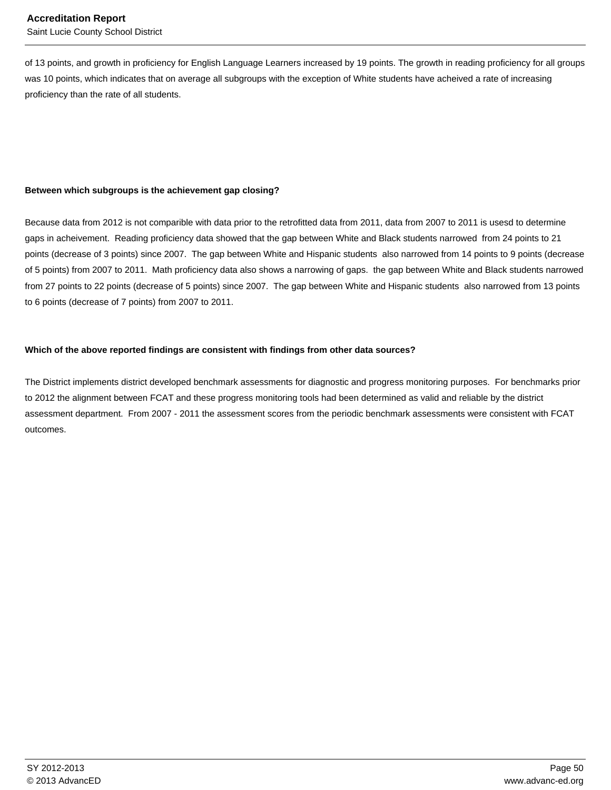of 13 points, and growth in proficiency for English Language Learners increased by 19 points. The growth in reading proficiency for all groups was 10 points, which indicates that on average all subgroups with the exception of White students have acheived a rate of increasing proficiency than the rate of all students.

### **Between which subgroups is the achievement gap closing?**

Because data from 2012 is not comparible with data prior to the retrofitted data from 2011, data from 2007 to 2011 is usesd to determine gaps in acheivement. Reading proficiency data showed that the gap between White and Black students narrowed from 24 points to 21 points (decrease of 3 points) since 2007. The gap between White and Hispanic students also narrowed from 14 points to 9 points (decrease of 5 points) from 2007 to 2011. Math proficiency data also shows a narrowing of gaps. the gap between White and Black students narrowed from 27 points to 22 points (decrease of 5 points) since 2007. The gap between White and Hispanic students also narrowed from 13 points to 6 points (decrease of 7 points) from 2007 to 2011.

### **Which of the above reported findings are consistent with findings from other data sources?**

The District implements district developed benchmark assessments for diagnostic and progress monitoring purposes. For benchmarks prior to 2012 the alignment between FCAT and these progress monitoring tools had been determined as valid and reliable by the district assessment department. From 2007 - 2011 the assessment scores from the periodic benchmark assessments were consistent with FCAT outcomes.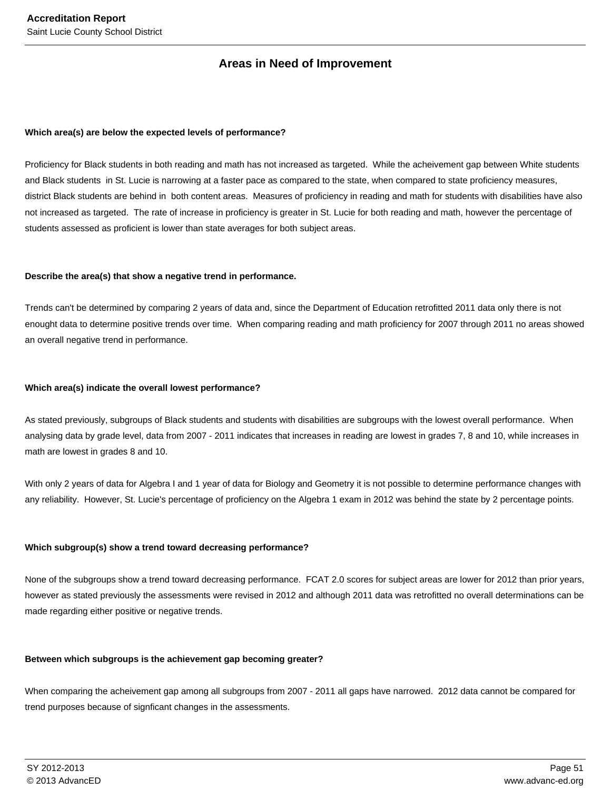# **Areas in Need of Improvement**

### **Which area(s) are below the expected levels of performance?**

Proficiency for Black students in both reading and math has not increased as targeted. While the acheivement gap between White students and Black students in St. Lucie is narrowing at a faster pace as compared to the state, when compared to state proficiency measures, district Black students are behind in both content areas. Measures of proficiency in reading and math for students with disabilities have also not increased as targeted. The rate of increase in proficiency is greater in St. Lucie for both reading and math, however the percentage of students assessed as proficient is lower than state averages for both subject areas.

### **Describe the area(s) that show a negative trend in performance.**

Trends can't be determined by comparing 2 years of data and, since the Department of Education retrofitted 2011 data only there is not enought data to determine positive trends over time. When comparing reading and math proficiency for 2007 through 2011 no areas showed an overall negative trend in performance.

### **Which area(s) indicate the overall lowest performance?**

As stated previously, subgroups of Black students and students with disabilities are subgroups with the lowest overall performance. When analysing data by grade level, data from 2007 - 2011 indicates that increases in reading are lowest in grades 7, 8 and 10, while increases in math are lowest in grades 8 and 10.

With only 2 years of data for Algebra I and 1 year of data for Biology and Geometry it is not possible to determine performance changes with any reliability. However, St. Lucie's percentage of proficiency on the Algebra 1 exam in 2012 was behind the state by 2 percentage points.

### **Which subgroup(s) show a trend toward decreasing performance?**

None of the subgroups show a trend toward decreasing performance. FCAT 2.0 scores for subject areas are lower for 2012 than prior years, however as stated previously the assessments were revised in 2012 and although 2011 data was retrofitted no overall determinations can be made regarding either positive or negative trends.

### **Between which subgroups is the achievement gap becoming greater?**

When comparing the acheivement gap among all subgroups from 2007 - 2011 all gaps have narrowed. 2012 data cannot be compared for trend purposes because of signficant changes in the assessments.